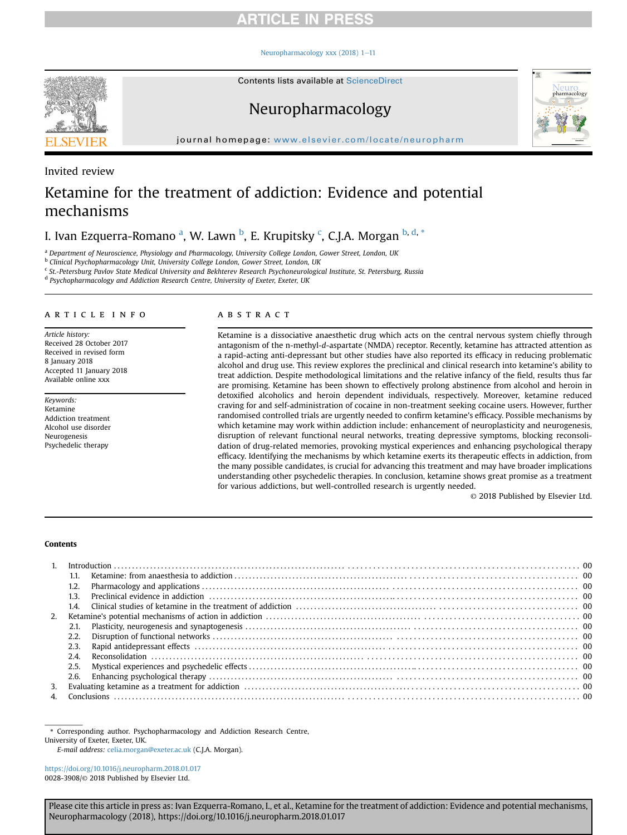### Neuropharmacology xxx  $(2018)$  1-[11](https://doi.org/10.1016/j.neuropharm.2018.01.017)



Contents lists available at ScienceDirect

## Neuropharmacology



journal homepage: [www.elsevier.com/locate/neuropharm](http://www.elsevier.com/locate/neuropharm)

## Invited review

# Ketamine for the treatment of addiction: Evidence and potential mechanisms

I. Ivan Ezquerra-Romano <sup>a</sup>, W. Lawn <sup>b</sup>, E. Krupitsky <sup>c</sup>, C.J.A. Morgan <sup>b, d,</sup> \*

a Department of Neuroscience, Physiology and Pharmacology, University College London, Gower Street, London, UK

**b** Clinical Psychopharmacology Unit, University College London, Gower Street, London, UK

<sup>c</sup> St.-Petersburg Pavlov State Medical University and Bekhterev Research Psychoneurological Institute, St. Petersburg, Russia

<sup>d</sup> Psychopharmacology and Addiction Research Centre, University of Exeter, Exeter, UK

### article info

Article history: Received 28 October 2017 Received in revised form 8 January 2018 Accepted 11 January 2018 Available online xxx

Keywords: Ketamine Addiction treatment Alcohol use disorder Neurogenesis Psychedelic therapy

## ABSTRACT

Ketamine is a dissociative anaesthetic drug which acts on the central nervous system chiefly through antagonism of the n-methyl-d-aspartate (NMDA) receptor. Recently, ketamine has attracted attention as a rapid-acting anti-depressant but other studies have also reported its efficacy in reducing problematic alcohol and drug use. This review explores the preclinical and clinical research into ketamine's ability to treat addiction. Despite methodological limitations and the relative infancy of the field, results thus far are promising. Ketamine has been shown to effectively prolong abstinence from alcohol and heroin in detoxified alcoholics and heroin dependent individuals, respectively. Moreover, ketamine reduced craving for and self-administration of cocaine in non-treatment seeking cocaine users. However, further randomised controlled trials are urgently needed to confirm ketamine's efficacy. Possible mechanisms by which ketamine may work within addiction include: enhancement of neuroplasticity and neurogenesis, disruption of relevant functional neural networks, treating depressive symptoms, blocking reconsolidation of drug-related memories, provoking mystical experiences and enhancing psychological therapy efficacy. Identifying the mechanisms by which ketamine exerts its therapeutic effects in addiction, from the many possible candidates, is crucial for advancing this treatment and may have broader implications understanding other psychedelic therapies. In conclusion, ketamine shows great promise as a treatment for various addictions, but well-controlled research is urgently needed.

© 2018 Published by Elsevier Ltd.

### Contents

| $\mathbf{1}$ |      |  |
|--------------|------|--|
|              | 1.1. |  |
|              | 1.2. |  |
|              | 1.3. |  |
|              | 1.4  |  |
| 2.           |      |  |
|              | 2.1. |  |
|              | 2.2. |  |
|              | 2.3. |  |
|              | 2.4. |  |
|              | 2.5. |  |
|              | 2.6. |  |
| 3.           |      |  |
|              |      |  |

\* Corresponding author. Psychopharmacology and Addiction Research Centre,

University of Exeter, Exeter, UK.

E-mail address: [celia.morgan@exeter.ac.uk](mailto:celia.morgan@exeter.ac.uk) (C.J.A. Morgan).

<https://doi.org/10.1016/j.neuropharm.2018.01.017> 0028-3908/© 2018 Published by Elsevier Ltd.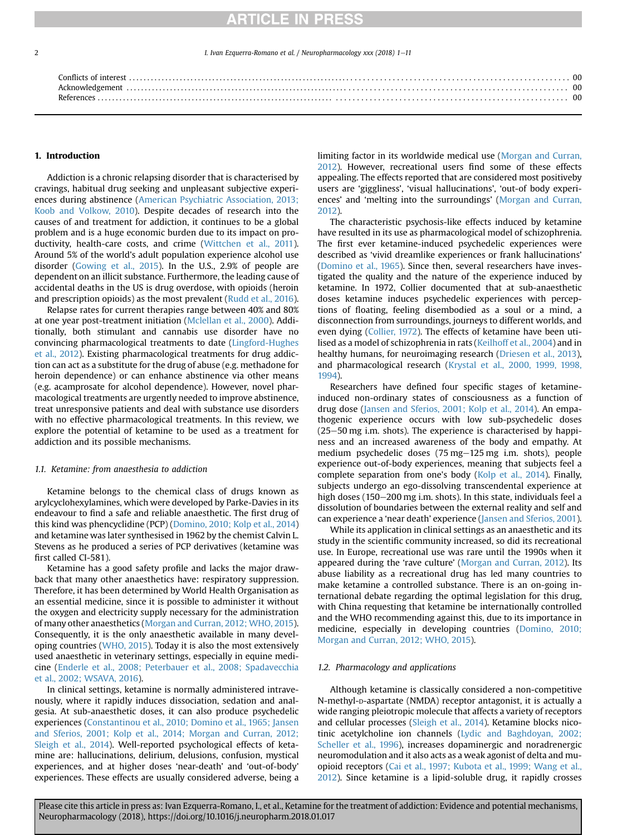1. Ivan Ezquerra-Romano et al. / Neuropharmacology xxx (2018) 1-11

| Conflicts of interest |  |
|-----------------------|--|
|                       |  |
|                       |  |
|                       |  |

## 1. Introduction

Addiction is a chronic relapsing disorder that is characterised by cravings, habitual drug seeking and unpleasant subjective experiences during abstinence ([American Psychiatric Association, 2013;](#page-7-0) [Koob and Volkow, 2010\)](#page-7-0). Despite decades of research into the causes of and treatment for addiction, it continues to be a global problem and is a huge economic burden due to its impact on productivity, health-care costs, and crime ([Wittchen et al., 2011\)](#page-10-0). Around 5% of the world's adult population experience alcohol use disorder ([Gowing et al., 2015\)](#page-8-0). In the U.S., 2.9% of people are dependent on an illicit substance. Furthermore, the leading cause of accidental deaths in the US is drug overdose, with opioids (heroin and prescription opioids) as the most prevalent ([Rudd et al., 2016\)](#page-9-0).

Relapse rates for current therapies range between 40% and 80% at one year post-treatment initiation [\(Mclellan et al., 2000](#page-9-0)). Additionally, both stimulant and cannabis use disorder have no convincing pharmacological treatments to date ([Lingford-Hughes](#page-9-0) [et al., 2012\)](#page-9-0). Existing pharmacological treatments for drug addiction can act as a substitute for the drug of abuse (e.g. methadone for heroin dependence) or can enhance abstinence via other means (e.g. acamprosate for alcohol dependence). However, novel pharmacological treatments are urgently needed to improve abstinence, treat unresponsive patients and deal with substance use disorders with no effective pharmacological treatments. In this review, we explore the potential of ketamine to be used as a treatment for addiction and its possible mechanisms.

#### 1.1. Ketamine: from anaesthesia to addiction

Ketamine belongs to the chemical class of drugs known as arylcyclohexylamines, which were developed by Parke-Davies in its endeavour to find a safe and reliable anaesthetic. The first drug of this kind was phencyclidine (PCP) ([Domino, 2010; Kolp et al., 2014\)](#page-7-0) and ketamine was later synthesised in 1962 by the chemist Calvin L. Stevens as he produced a series of PCP derivatives (ketamine was first called CI-581).

Ketamine has a good safety profile and lacks the major drawback that many other anaesthetics have: respiratory suppression. Therefore, it has been determined by World Health Organisation as an essential medicine, since it is possible to administer it without the oxygen and electricity supply necessary for the administration of many other anaesthetics ([Morgan and Curran, 2012; WHO, 2015\)](#page-9-0). Consequently, it is the only anaesthetic available in many developing countries [\(WHO, 2015](#page-10-0)). Today it is also the most extensively used anaesthetic in veterinary settings, especially in equine medicine [\(Enderle et al., 2008; Peterbauer et al., 2008; Spadavecchia](#page-8-0) [et al., 2002; WSAVA, 2016](#page-8-0)).

In clinical settings, ketamine is normally administered intravenously, where it rapidly induces dissociation, sedation and analgesia. At sub-anaesthetic doses, it can also produce psychedelic experiences ([Constantinou et al., 2010; Domino et al., 1965; Jansen](#page-7-0) [and Sferios, 2001; Kolp et al., 2014; Morgan and Curran, 2012;](#page-7-0) [Sleigh et al., 2014\)](#page-7-0). Well-reported psychological effects of ketamine are: hallucinations, delirium, delusions, confusion, mystical experiences, and at higher doses 'near-death' and 'out-of-body' experiences. These effects are usually considered adverse, being a limiting factor in its worldwide medical use [\(Morgan and Curran,](#page-9-0) [2012](#page-9-0)). However, recreational users find some of these effects appealing. The effects reported that are considered most positiveby users are 'giggliness', 'visual hallucinations', 'out-of body experiences' and 'melting into the surroundings' [\(Morgan and Curran,](#page-9-0) [2012](#page-9-0)).

The characteristic psychosis-like effects induced by ketamine have resulted in its use as pharmacological model of schizophrenia. The first ever ketamine-induced psychedelic experiences were described as 'vivid dreamlike experiences or frank hallucinations' ([Domino et al., 1965\)](#page-8-0). Since then, several researchers have investigated the quality and the nature of the experience induced by ketamine. In 1972, Collier documented that at sub-anaesthetic doses ketamine induces psychedelic experiences with perceptions of floating, feeling disembodied as a soul or a mind, a disconnection from surroundings, journeys to different worlds, and even dying [\(Collier, 1972](#page-7-0)). The effects of ketamine have been utilised as a model of schizophrenia in rats ([Keilhoff et al., 2004\)](#page-8-0) and in healthy humans, for neuroimaging research ([Driesen et al., 2013\)](#page-8-0), and pharmacological research [\(Krystal et al., 2000, 1999, 1998,](#page-8-0) [1994](#page-8-0)).

Researchers have defined four specific stages of ketamineinduced non-ordinary states of consciousness as a function of drug dose ([Jansen and Sferios, 2001; Kolp et al., 2014](#page-8-0)). An empathogenic experience occurs with low sub-psychedelic doses  $(25-50$  mg i.m. shots). The experience is characterised by happiness and an increased awareness of the body and empathy. At medium psychedelic doses  $(75 \text{ mg} - 125 \text{ mg} \text{ i.m.} \text{ shots})$ , people experience out-of-body experiences, meaning that subjects feel a complete separation from one's body ([Kolp et al., 2014\)](#page-8-0). Finally, subjects undergo an ego-dissolving transcendental experience at high doses (150–200 mg i.m. shots). In this state, individuals feel a dissolution of boundaries between the external reality and self and can experience a 'near death' experience ([Jansen and Sferios, 2001\)](#page-8-0).

While its application in clinical settings as an anaesthetic and its study in the scientific community increased, so did its recreational use. In Europe, recreational use was rare until the 1990s when it appeared during the 'rave culture' [\(Morgan and Curran, 2012\)](#page-9-0). Its abuse liability as a recreational drug has led many countries to make ketamine a controlled substance. There is an on-going international debate regarding the optimal legislation for this drug, with China requesting that ketamine be internationally controlled and the WHO recommending against this, due to its importance in medicine, especially in developing countries ([Domino, 2010;](#page-7-0) [Morgan and Curran, 2012; WHO, 2015](#page-7-0)).

## 1.2. Pharmacology and applications

Although ketamine is classically considered a non-competitive N-methyl-D-aspartate (NMDA) receptor antagonist, it is actually a wide ranging pleiotropic molecule that affects a variety of receptors and cellular processes [\(Sleigh et al., 2014\)](#page-9-0). Ketamine blocks nicotinic acetylcholine ion channels ([Lydic and Baghdoyan, 2002;](#page-9-0) [Scheller et al., 1996\)](#page-9-0), increases dopaminergic and noradrenergic neuromodulation and it also acts as a weak agonist of delta and muopioid receptors ([Cai et al., 1997; Kubota et al., 1999; Wang et al.,](#page-7-0) [2012](#page-7-0)). Since ketamine is a lipid-soluble drug, it rapidly crosses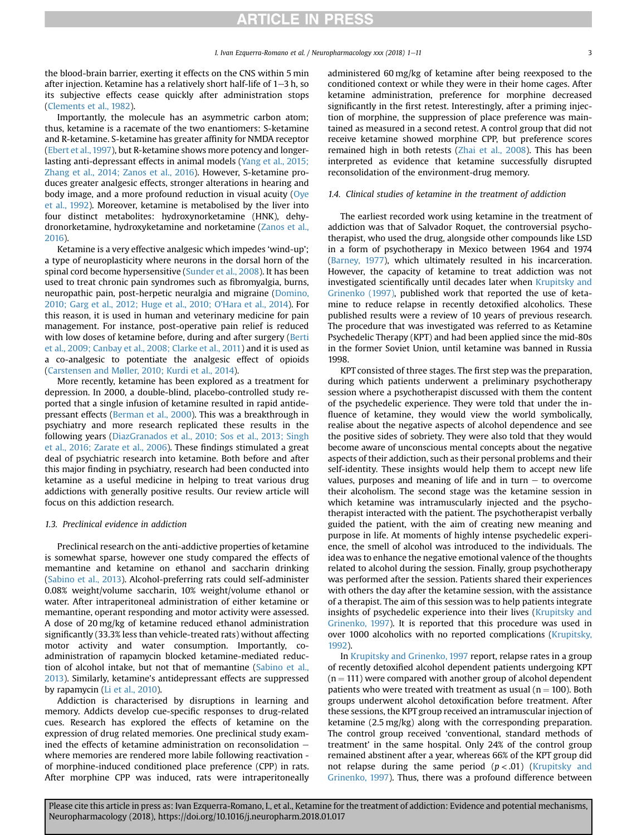the blood-brain barrier, exerting it effects on the CNS within 5 min after injection. Ketamine has a relatively short half-life of  $1-3$  h, so its subjective effects cease quickly after administration stops ([Clements et al., 1982\)](#page-7-0).

Importantly, the molecule has an asymmetric carbon atom; thus, ketamine is a racemate of the two enantiomers: S-ketamine and R-ketamine. S-ketamine has greater affinity for NMDA receptor ([Ebert et al., 1997\)](#page-8-0), but R-ketamine shows more potency and longerlasting anti-depressant effects in animal models [\(Yang et al., 2015;](#page-10-0) [Zhang et al., 2014; Zanos et al., 2016](#page-10-0)). However, S-ketamine produces greater analgesic effects, stronger alterations in hearing and body image, and a more profound reduction in visual acuity [\(Oye](#page-9-0) [et al., 1992](#page-9-0)). Moreover, ketamine is metabolised by the liver into four distinct metabolites: hydroxynorketamine (HNK), dehydronorketamine, hydroxyketamine and norketamine [\(Zanos et al.,](#page-10-0) [2016\)](#page-10-0).

Ketamine is a very effective analgesic which impedes 'wind-up'; a type of neuroplasticity where neurons in the dorsal horn of the spinal cord become hypersensitive ([Sunder et al., 2008](#page-10-0)). It has been used to treat chronic pain syndromes such as fibromyalgia, burns, neuropathic pain, post-herpetic neuralgia and migraine ([Domino,](#page-7-0) [2010; Garg et al., 2012; Huge et al., 2010; O'Hara et al., 2014\)](#page-7-0). For this reason, it is used in human and veterinary medicine for pain management. For instance, post-operative pain relief is reduced with low doses of ketamine before, during and after surgery ([Berti](#page-7-0) [et al., 2009; Canbay et al., 2008; Clarke et al., 2011](#page-7-0)) and it is used as a co-analgesic to potentiate the analgesic effect of opioids ([Carstensen and Møller, 2010; Kurdi et al., 2014](#page-7-0)).

More recently, ketamine has been explored as a treatment for depression. In 2000, a double-blind, placebo-controlled study reported that a single infusion of ketamine resulted in rapid antidepressant effects [\(Berman et al., 2000\)](#page-7-0). This was a breakthrough in psychiatry and more research replicated these results in the following years ([DiazGranados et al., 2010; Sos et al., 2013; Singh](#page-7-0) [et al., 2016; Zarate et al., 2006\)](#page-7-0). These findings stimulated a great deal of psychiatric research into ketamine. Both before and after this major finding in psychiatry, research had been conducted into ketamine as a useful medicine in helping to treat various drug addictions with generally positive results. Our review article will focus on this addiction research.

### 1.3. Preclinical evidence in addiction

Preclinical research on the anti-addictive properties of ketamine is somewhat sparse, however one study compared the effects of memantine and ketamine on ethanol and saccharin drinking ([Sabino et al., 2013](#page-9-0)). Alcohol-preferring rats could self-administer 0.08% weight/volume saccharin, 10% weight/volume ethanol or water. After intraperitoneal administration of either ketamine or memantine, operant responding and motor activity were assessed. A dose of 20 mg/kg of ketamine reduced ethanol administration significantly (33.3% less than vehicle-treated rats) without affecting motor activity and water consumption. Importantly, coadministration of rapamycin blocked ketamine-mediated reduction of alcohol intake, but not that of memantine [\(Sabino et al.,](#page-9-0) [2013\)](#page-9-0). Similarly, ketamine's antidepressant effects are suppressed by rapamycin [\(Li et al., 2010](#page-9-0)).

Addiction is characterised by disruptions in learning and memory. Addicts develop cue-specific responses to drug-related cues. Research has explored the effects of ketamine on the expression of drug related memories. One preclinical study examined the effects of ketamine administration on reconsolidation  $$ where memories are rendered more labile following reactivation of morphine-induced conditioned place preference (CPP) in rats. After morphine CPP was induced, rats were intraperitoneally administered 60 mg/kg of ketamine after being reexposed to the conditioned context or while they were in their home cages. After ketamine administration, preference for morphine decreased significantly in the first retest. Interestingly, after a priming injection of morphine, the suppression of place preference was maintained as measured in a second retest. A control group that did not receive ketamine showed morphine CPP, but preference scores remained high in both retests ([Zhai et al., 2008\)](#page-10-0). This has been interpreted as evidence that ketamine successfully disrupted reconsolidation of the environment-drug memory.

### 1.4. Clinical studies of ketamine in the treatment of addiction

The earliest recorded work using ketamine in the treatment of addiction was that of Salvador Roquet, the controversial psychotherapist, who used the drug, alongside other compounds like LSD in a form of psychotherapy in Mexico between 1964 and 1974 ([Barney, 1977\)](#page-7-0), which ultimately resulted in his incarceration. However, the capacity of ketamine to treat addiction was not investigated scientifically until decades later when [Krupitsky and](#page-8-0) [Grinenko \(1997\),](#page-8-0) published work that reported the use of ketamine to reduce relapse in recently detoxified alcoholics. These published results were a review of 10 years of previous research. The procedure that was investigated was referred to as Ketamine Psychedelic Therapy (KPT) and had been applied since the mid-80s in the former Soviet Union, until ketamine was banned in Russia 1998.

KPT consisted of three stages. The first step was the preparation, during which patients underwent a preliminary psychotherapy session where a psychotherapist discussed with them the content of the psychedelic experience. They were told that under the influence of ketamine, they would view the world symbolically, realise about the negative aspects of alcohol dependence and see the positive sides of sobriety. They were also told that they would become aware of unconscious mental concepts about the negative aspects of their addiction, such as their personal problems and their self-identity. These insights would help them to accept new life values, purposes and meaning of life and in turn  $-$  to overcome their alcoholism. The second stage was the ketamine session in which ketamine was intramuscularly injected and the psychotherapist interacted with the patient. The psychotherapist verbally guided the patient, with the aim of creating new meaning and purpose in life. At moments of highly intense psychedelic experience, the smell of alcohol was introduced to the individuals. The idea was to enhance the negative emotional valence of the thoughts related to alcohol during the session. Finally, group psychotherapy was performed after the session. Patients shared their experiences with others the day after the ketamine session, with the assistance of a therapist. The aim of this session was to help patients integrate insights of psychedelic experience into their lives ([Krupitsky and](#page-8-0) [Grinenko, 1997](#page-8-0)). It is reported that this procedure was used in over 1000 alcoholics with no reported complications [\(Krupitsky,](#page-8-0) [1992\)](#page-8-0).

In [Krupitsky and Grinenko, 1997](#page-8-0) report, relapse rates in a group of recently detoxified alcohol dependent patients undergoing KPT  $(n = 111)$  were compared with another group of alcohol dependent patients who were treated with treatment as usual ( $n = 100$ ). Both groups underwent alcohol detoxification before treatment. After these sessions, the KPT group received an intramuscular injection of ketamine (2.5 mg/kg) along with the corresponding preparation. The control group received 'conventional, standard methods of treatment' in the same hospital. Only 24% of the control group remained abstinent after a year, whereas 66% of the KPT group did not relapse during the same period  $(p < .01)$  [\(Krupitsky and](#page-8-0) [Grinenko, 1997\)](#page-8-0). Thus, there was a profound difference between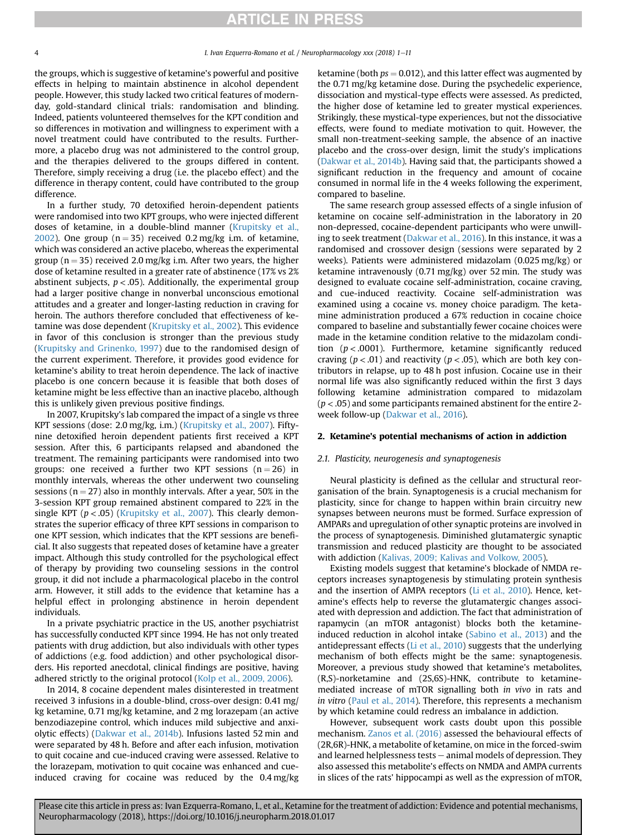the groups, which is suggestive of ketamine's powerful and positive effects in helping to maintain abstinence in alcohol dependent people. However, this study lacked two critical features of modernday, gold-standard clinical trials: randomisation and blinding. Indeed, patients volunteered themselves for the KPT condition and so differences in motivation and willingness to experiment with a novel treatment could have contributed to the results. Furthermore, a placebo drug was not administered to the control group, and the therapies delivered to the groups differed in content. Therefore, simply receiving a drug (i.e. the placebo effect) and the difference in therapy content, could have contributed to the group difference.

In a further study, 70 detoxified heroin-dependent patients were randomised into two KPT groups, who were injected different doses of ketamine, in a double-blind manner [\(Krupitsky et al.,](#page-8-0) [2002](#page-8-0)). One group ( $n = 35$ ) received 0.2 mg/kg i.m. of ketamine, which was considered an active placebo, whereas the experimental group ( $n = 35$ ) received 2.0 mg/kg i.m. After two years, the higher dose of ketamine resulted in a greater rate of abstinence (17% vs 2% abstinent subjects,  $p < .05$ ). Additionally, the experimental group had a larger positive change in nonverbal unconscious emotional attitudes and a greater and longer-lasting reduction in craving for heroin. The authors therefore concluded that effectiveness of ketamine was dose dependent ([Krupitsky et al., 2002](#page-8-0)). This evidence in favor of this conclusion is stronger than the previous study ([Krupitsky and Grinenko, 1997\)](#page-8-0) due to the randomised design of the current experiment. Therefore, it provides good evidence for ketamine's ability to treat heroin dependence. The lack of inactive placebo is one concern because it is feasible that both doses of ketamine might be less effective than an inactive placebo, although this is unlikely given previous positive findings.

In 2007, Krupitsky's lab compared the impact of a single vs three KPT sessions (dose: 2.0 mg/kg, i.m.) [\(Krupitsky et al., 2007](#page-8-0)). Fiftynine detoxified heroin dependent patients first received a KPT session. After this, 6 participants relapsed and abandoned the treatment. The remaining participants were randomised into two groups: one received a further two KPT sessions  $(n = 26)$  in monthly intervals, whereas the other underwent two counseling sessions ( $n = 27$ ) also in monthly intervals. After a year, 50% in the 3-session KPT group remained abstinent compared to 22% in the single KPT ( $p < .05$ ) [\(Krupitsky et al., 2007](#page-8-0)). This clearly demonstrates the superior efficacy of three KPT sessions in comparison to one KPT session, which indicates that the KPT sessions are beneficial. It also suggests that repeated doses of ketamine have a greater impact. Although this study controlled for the psychological effect of therapy by providing two counseling sessions in the control group, it did not include a pharmacological placebo in the control arm. However, it still adds to the evidence that ketamine has a helpful effect in prolonging abstinence in heroin dependent individuals.

In a private psychiatric practice in the US, another psychiatrist has successfully conducted KPT since 1994. He has not only treated patients with drug addiction, but also individuals with other types of addictions (e.g. food addiction) and other psychological disorders. His reported anecdotal, clinical findings are positive, having adhered strictly to the original protocol ([Kolp et al., 2009, 2006](#page-8-0)).

In 2014, 8 cocaine dependent males disinterested in treatment received 3 infusions in a double-blind, cross-over design: 0.41 mg/ kg ketamine, 0.71 mg/kg ketamine, and 2 mg lorazepam (an active benzodiazepine control, which induces mild subjective and anxiolytic effects) [\(Dakwar et al., 2014b](#page-7-0)). Infusions lasted 52 min and were separated by 48 h. Before and after each infusion, motivation to quit cocaine and cue-induced craving were assessed. Relative to the lorazepam, motivation to quit cocaine was enhanced and cueinduced craving for cocaine was reduced by the 0.4 mg/kg ketamine (both  $ps = 0.012$ ), and this latter effect was augmented by the 0.71 mg/kg ketamine dose. During the psychedelic experience, dissociation and mystical-type effects were assessed. As predicted, the higher dose of ketamine led to greater mystical experiences. Strikingly, these mystical-type experiences, but not the dissociative effects, were found to mediate motivation to quit. However, the small non-treatment-seeking sample, the absence of an inactive placebo and the cross-over design, limit the study's implications ([Dakwar et al., 2014b\)](#page-7-0). Having said that, the participants showed a significant reduction in the frequency and amount of cocaine consumed in normal life in the 4 weeks following the experiment, compared to baseline.

The same research group assessed effects of a single infusion of ketamine on cocaine self-administration in the laboratory in 20 non-depressed, cocaine-dependent participants who were unwilling to seek treatment [\(Dakwar et al., 2016](#page-7-0)). In this instance, it was a randomised and crossover design (sessions were separated by 2 weeks). Patients were administered midazolam (0.025 mg/kg) or ketamine intravenously (0.71 mg/kg) over 52 min. The study was designed to evaluate cocaine self-administration, cocaine craving, and cue-induced reactivity. Cocaine self-administration was examined using a cocaine vs. money choice paradigm. The ketamine administration produced a 67% reduction in cocaine choice compared to baseline and substantially fewer cocaine choices were made in the ketamine condition relative to the midazolam condition  $(p < .0001)$ . Furthermore, ketamine significantly reduced craving ( $p < .01$ ) and reactivity ( $p < .05$ ), which are both key contributors in relapse, up to 48 h post infusion. Cocaine use in their normal life was also significantly reduced within the first 3 days following ketamine administration compared to midazolam  $(p < .05)$  and some participants remained abstinent for the entire 2week follow-up ([Dakwar et al., 2016](#page-7-0)).

## 2. Ketamine's potential mechanisms of action in addiction

#### 2.1. Plasticity, neurogenesis and synaptogenesis

Neural plasticity is defined as the cellular and structural reorganisation of the brain. Synaptogenesis is a crucial mechanism for plasticity, since for change to happen within brain circuitry new synapses between neurons must be formed. Surface expression of AMPARs and upregulation of other synaptic proteins are involved in the process of synaptogenesis. Diminished glutamatergic synaptic transmission and reduced plasticity are thought to be associated with addiction ([Kalivas, 2009; Kalivas and Volkow, 2005\)](#page-8-0).

Existing models suggest that ketamine's blockade of NMDA receptors increases synaptogenesis by stimulating protein synthesis and the insertion of AMPA receptors [\(Li et al., 2010\)](#page-9-0). Hence, ketamine's effects help to reverse the glutamatergic changes associated with depression and addiction. The fact that administration of rapamycin (an mTOR antagonist) blocks both the ketamineinduced reduction in alcohol intake ([Sabino et al., 2013\)](#page-9-0) and the antidepressant effects ([Li et al., 2010\)](#page-9-0) suggests that the underlying mechanism of both effects might be the same: synaptogenesis. Moreover, a previous study showed that ketamine's metabolites, (R,S)-norketamine and (2S,6S)-HNK, contribute to ketaminemediated increase of mTOR signalling both in vivo in rats and in vitro [\(Paul et al., 2014](#page-9-0)). Therefore, this represents a mechanism by which ketamine could redress an imbalance in addiction.

However, subsequent work casts doubt upon this possible mechanism. [Zanos et al. \(2016\)](#page-10-0) assessed the behavioural effects of (2R,6R)-HNK, a metabolite of ketamine, on mice in the forced-swim and learned helplessness tests  $-$  animal models of depression. They also assessed this metabolite's effects on NMDA and AMPA currents in slices of the rats' hippocampi as well as the expression of mTOR,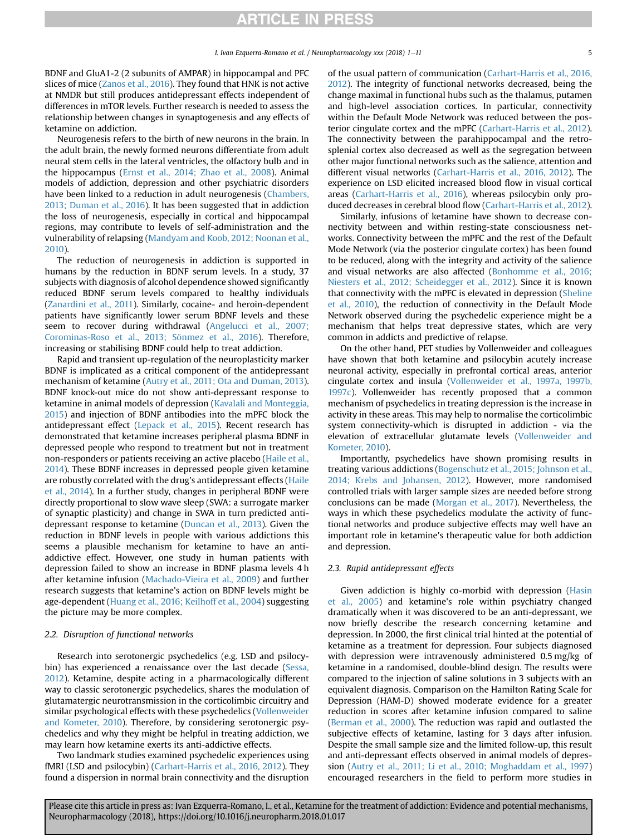BDNF and GluA1-2 (2 subunits of AMPAR) in hippocampal and PFC slices of mice [\(Zanos et al., 2016](#page-10-0)). They found that HNK is not active at NMDR but still produces antidepressant effects independent of differences in mTOR levels. Further research is needed to assess the relationship between changes in synaptogenesis and any effects of ketamine on addiction.

Neurogenesis refers to the birth of new neurons in the brain. In the adult brain, the newly formed neurons differentiate from adult neural stem cells in the lateral ventricles, the olfactory bulb and in the hippocampus ([Ernst et al., 2014; Zhao et al., 2008\)](#page-8-0). Animal models of addiction, depression and other psychiatric disorders have been linked to a reduction in adult neurogenesis ([Chambers,](#page-7-0) [2013; Duman et al., 2016\)](#page-7-0). It has been suggested that in addiction the loss of neurogenesis, especially in cortical and hippocampal regions, may contribute to levels of self-administration and the vulnerability of relapsing [\(Mandyam and Koob, 2012; Noonan et al.,](#page-9-0) [2010\)](#page-9-0).

The reduction of neurogenesis in addiction is supported in humans by the reduction in BDNF serum levels. In a study, 37 subjects with diagnosis of alcohol dependence showed significantly reduced BDNF serum levels compared to healthy individuals ([Zanardini et al., 2011\)](#page-10-0). Similarly, cocaine- and heroin-dependent patients have significantly lower serum BDNF levels and these seem to recover during withdrawal [\(Angelucci et al., 2007;](#page-7-0) Corominas-Roso et al., 2013; Sönmez et al., 2016). Therefore, increasing or stabilising BDNF could help to treat addiction.

Rapid and transient up-regulation of the neuroplasticity marker BDNF is implicated as a critical component of the antidepressant mechanism of ketamine ([Autry et al., 2011; Ota and Duman, 2013\)](#page-7-0). BDNF knock-out mice do not show anti-depressant response to ketamine in animal models of depression ([Kavalali and Monteggia,](#page-8-0) [2015\)](#page-8-0) and injection of BDNF antibodies into the mPFC block the antidepressant effect ([Lepack et al., 2015\)](#page-9-0). Recent research has demonstrated that ketamine increases peripheral plasma BDNF in depressed people who respond to treatment but not in treatment non-responders or patients receiving an active placebo ([Haile et al.,](#page-8-0) [2014\)](#page-8-0). These BDNF increases in depressed people given ketamine are robustly correlated with the drug's antidepressant effects [\(Haile](#page-8-0) [et al., 2014](#page-8-0)). In a further study, changes in peripheral BDNF were directly proportional to slow wave sleep (SWA: a surrogate marker of synaptic plasticity) and change in SWA in turn predicted antidepressant response to ketamine [\(Duncan et al., 2013\)](#page-8-0). Given the reduction in BDNF levels in people with various addictions this seems a plausible mechanism for ketamine to have an antiaddictive effect. However, one study in human patients with depression failed to show an increase in BDNF plasma levels 4 h after ketamine infusion [\(Machado-Vieira et al., 2009\)](#page-9-0) and further research suggests that ketamine's action on BDNF levels might be age-dependent ([Huang et al., 2016; Keilhoff et al., 2004](#page-8-0)) suggesting the picture may be more complex.

## 2.2. Disruption of functional networks

Research into serotonergic psychedelics (e.g. LSD and psilocy-bin) has experienced a renaissance over the last decade ([Sessa,](#page-9-0) [2012\)](#page-9-0). Ketamine, despite acting in a pharmacologically different way to classic serotonergic psychedelics, shares the modulation of glutamatergic neurotransmission in the corticolimbic circuitry and similar psychological effects with these psychedelics [\(Vollenweider](#page-10-0) [and Kometer, 2010\)](#page-10-0). Therefore, by considering serotonergic psychedelics and why they might be helpful in treating addiction, we may learn how ketamine exerts its anti-addictive effects.

Two landmark studies examined psychedelic experiences using fMRI (LSD and psilocybin) ([Carhart-Harris et al., 2016, 2012\)](#page-7-0). They found a dispersion in normal brain connectivity and the disruption of the usual pattern of communication [\(Carhart-Harris et al., 2016,](#page-7-0) [2012\)](#page-7-0). The integrity of functional networks decreased, being the change maximal in functional hubs such as the thalamus, putamen and high-level association cortices. In particular, connectivity within the Default Mode Network was reduced between the posterior cingulate cortex and the mPFC [\(Carhart-Harris et al., 2012\)](#page-7-0). The connectivity between the parahippocampal and the retrosplenial cortex also decreased as well as the segregation between other major functional networks such as the salience, attention and different visual networks [\(Carhart-Harris et al., 2016, 2012](#page-7-0)). The experience on LSD elicited increased blood flow in visual cortical areas ([Carhart-Harris et al., 2016\)](#page-7-0), whereas psilocybin only produced decreases in cerebral blood flow [\(Carhart-Harris et al., 2012\)](#page-7-0).

Similarly, infusions of ketamine have shown to decrease connectivity between and within resting-state consciousness networks. Connectivity between the mPFC and the rest of the Default Mode Network (via the posterior cingulate cortex) has been found to be reduced, along with the integrity and activity of the salience and visual networks are also affected ([Bonhomme et al., 2016;](#page-7-0) [Niesters et al., 2012; Scheidegger et al., 2012\)](#page-7-0). Since it is known that connectivity with the mPFC is elevated in depression ([Sheline](#page-9-0) [et al., 2010](#page-9-0)), the reduction of connectivity in the Default Mode Network observed during the psychedelic experience might be a mechanism that helps treat depressive states, which are very common in addicts and predictive of relapse.

On the other hand, PET studies by Vollenweider and colleagues have shown that both ketamine and psilocybin acutely increase neuronal activity, especially in prefrontal cortical areas, anterior cingulate cortex and insula ([Vollenweider et al., 1997a, 1997b,](#page-10-0) [1997c\)](#page-10-0). Vollenweider has recently proposed that a common mechanism of psychedelics in treating depression is the increase in activity in these areas. This may help to normalise the corticolimbic system connectivity-which is disrupted in addiction - via the elevation of extracellular glutamate levels [\(Vollenweider and](#page-10-0) [Kometer, 2010](#page-10-0)).

Importantly, psychedelics have shown promising results in treating various addictions ([Bogenschutz et al., 2015; Johnson et al.,](#page-7-0) [2014; Krebs and Johansen, 2012](#page-7-0)). However, more randomised controlled trials with larger sample sizes are needed before strong conclusions can be made [\(Morgan et al., 2017\)](#page-9-0). Nevertheless, the ways in which these psychedelics modulate the activity of functional networks and produce subjective effects may well have an important role in ketamine's therapeutic value for both addiction and depression.

## 2.3. Rapid antidepressant effects

Given addiction is highly co-morbid with depression [\(Hasin](#page-8-0) [et al., 2005\)](#page-8-0) and ketamine's role within psychiatry changed dramatically when it was discovered to be an anti-depressant, we now briefly describe the research concerning ketamine and depression. In 2000, the first clinical trial hinted at the potential of ketamine as a treatment for depression. Four subjects diagnosed with depression were intravenously administered 0.5 mg/kg of ketamine in a randomised, double-blind design. The results were compared to the injection of saline solutions in 3 subjects with an equivalent diagnosis. Comparison on the Hamilton Rating Scale for Depression (HAM-D) showed moderate evidence for a greater reduction in scores after ketamine infusion compared to saline ([Berman et al., 2000](#page-7-0)). The reduction was rapid and outlasted the subjective effects of ketamine, lasting for 3 days after infusion. Despite the small sample size and the limited follow-up, this result and anti-depressant effects observed in animal models of depression ([Autry et al., 2011; Li et al., 2010; Moghaddam et al., 1997\)](#page-7-0) encouraged researchers in the field to perform more studies in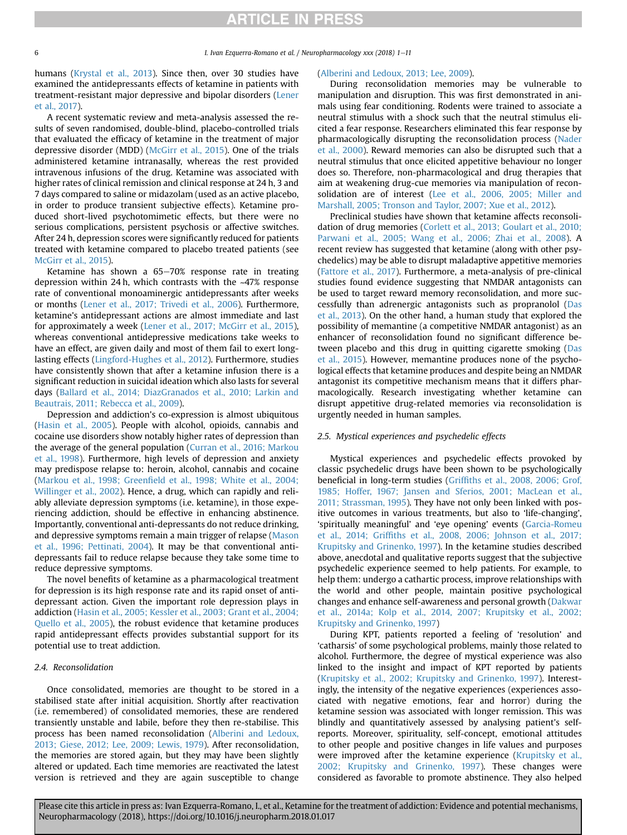humans [\(Krystal et al., 2013\)](#page-8-0). Since then, over 30 studies have examined the antidepressants effects of ketamine in patients with treatment-resistant major depressive and bipolar disorders ([Lener](#page-9-0) [et al., 2017](#page-9-0)).

A recent systematic review and meta-analysis assessed the results of seven randomised, double-blind, placebo-controlled trials that evaluated the efficacy of ketamine in the treatment of major depressive disorder (MDD) ([McGirr et al., 2015](#page-9-0)). One of the trials administered ketamine intranasally, whereas the rest provided intravenous infusions of the drug. Ketamine was associated with higher rates of clinical remission and clinical response at 24 h, 3 and 7 days compared to saline or midazolam (used as an active placebo, in order to produce transient subjective effects). Ketamine produced short-lived psychotomimetic effects, but there were no serious complications, persistent psychosis or affective switches. After 24 h, depression scores were significantly reduced for patients treated with ketamine compared to placebo treated patients (see [McGirr et al., 2015\)](#page-9-0).

Ketamine has shown a  $65-70%$  response rate in treating depression within 24 h, which contrasts with the ~47% response rate of conventional monoaminergic antidepressants after weeks or months [\(Lener et al., 2017; Trivedi et al., 2006\)](#page-9-0). Furthermore, ketamine's antidepressant actions are almost immediate and last for approximately a week ([Lener et al., 2017; McGirr et al., 2015\)](#page-9-0), whereas conventional antidepressive medications take weeks to have an effect, are given daily and most of them fail to exert longlasting effects [\(Lingford-Hughes et al., 2012](#page-9-0)). Furthermore, studies have consistently shown that after a ketamine infusion there is a significant reduction in suicidal ideation which also lasts for several days ([Ballard et al., 2014; DiazGranados et al., 2010; Larkin and](#page-7-0) [Beautrais, 2011; Rebecca et al., 2009](#page-7-0)).

Depression and addiction's co-expression is almost ubiquitous ([Hasin et al., 2005](#page-8-0)). People with alcohol, opioids, cannabis and cocaine use disorders show notably higher rates of depression than the average of the general population [\(Curran et al., 2016; Markou](#page-7-0) [et al., 1998\)](#page-7-0). Furthermore, high levels of depression and anxiety may predispose relapse to: heroin, alcohol, cannabis and cocaine (Markou et al., 1998; Greenfi[eld et al., 1998; White et al., 2004;](#page-9-0) [Willinger et al., 2002\)](#page-9-0). Hence, a drug, which can rapidly and reliably alleviate depression symptoms (i.e. ketamine), in those experiencing addiction, should be effective in enhancing abstinence. Importantly, conventional anti-depressants do not reduce drinking, and depressive symptoms remain a main trigger of relapse ([Mason](#page-9-0) [et al., 1996; Pettinati, 2004](#page-9-0)). It may be that conventional antidepressants fail to reduce relapse because they take some time to reduce depressive symptoms.

The novel benefits of ketamine as a pharmacological treatment for depression is its high response rate and its rapid onset of antidepressant action. Given the important role depression plays in addiction [\(Hasin et al., 2005; Kessler et al., 2003; Grant et al., 2004;](#page-8-0) [Quello et al., 2005](#page-8-0)), the robust evidence that ketamine produces rapid antidepressant effects provides substantial support for its potential use to treat addiction.

## 2.4. Reconsolidation

Once consolidated, memories are thought to be stored in a stabilised state after initial acquisition. Shortly after reactivation (i.e. remembered) of consolidated memories, these are rendered transiently unstable and labile, before they then re-stabilise. This process has been named reconsolidation ([Alberini and Ledoux,](#page-7-0) [2013; Giese, 2012; Lee, 2009; Lewis, 1979\)](#page-7-0). After reconsolidation, the memories are stored again, but they may have been slightly altered or updated. Each time memories are reactivated the latest version is retrieved and they are again susceptible to change

#### ([Alberini and Ledoux, 2013; Lee, 2009\)](#page-7-0).

During reconsolidation memories may be vulnerable to manipulation and disruption. This was first demonstrated in animals using fear conditioning. Rodents were trained to associate a neutral stimulus with a shock such that the neutral stimulus elicited a fear response. Researchers eliminated this fear response by pharmacologically disrupting the reconsolidation process [\(Nader](#page-9-0) [et al., 2000\)](#page-9-0). Reward memories can also be disrupted such that a neutral stimulus that once elicited appetitive behaviour no longer does so. Therefore, non-pharmacological and drug therapies that aim at weakening drug-cue memories via manipulation of reconsolidation are of interest [\(Lee et al., 2006, 2005; Miller and](#page-9-0) [Marshall, 2005; Tronson and Taylor, 2007; Xue et al., 2012](#page-9-0)).

Preclinical studies have shown that ketamine affects reconsolidation of drug memories ([Corlett et al., 2013; Goulart et al., 2010;](#page-7-0) [Parwani et al., 2005; Wang et al., 2006; Zhai et al., 2008\)](#page-7-0). A recent review has suggested that ketamine (along with other psychedelics) may be able to disrupt maladaptive appetitive memories ([Fattore et al., 2017](#page-8-0)). Furthermore, a meta-analysis of pre-clinical studies found evidence suggesting that NMDAR antagonists can be used to target reward memory reconsolidation, and more successfully than adrenergic antagonists such as propranolol [\(Das](#page-7-0) [et al., 2013](#page-7-0)). On the other hand, a human study that explored the possibility of memantine (a competitive NMDAR antagonist) as an enhancer of reconsolidation found no significant difference be-tween placebo and this drug in quitting cigarette smoking [\(Das](#page-7-0) [et al., 2015](#page-7-0)). However, memantine produces none of the psychological effects that ketamine produces and despite being an NMDAR antagonist its competitive mechanism means that it differs pharmacologically. Research investigating whether ketamine can disrupt appetitive drug-related memories via reconsolidation is urgently needed in human samples.

### 2.5. Mystical experiences and psychedelic effects

Mystical experiences and psychedelic effects provoked by classic psychedelic drugs have been shown to be psychologically beneficial in long-term studies (Griffi[ths et al., 2008, 2006; Grof,](#page-8-0) [1985; Hoffer, 1967; Jansen and Sferios, 2001; MacLean et al.,](#page-8-0) [2011; Strassman, 1995](#page-8-0)). They have not only been linked with positive outcomes in various treatments, but also to 'life-changing', 'spiritually meaningful' and 'eye opening' events [\(Garcia-Romeu](#page-8-0) et al., 2014; Griffi[ths et al., 2008, 2006; Johnson et al., 2017;](#page-8-0) [Krupitsky and Grinenko, 1997](#page-8-0)). In the ketamine studies described above, anecdotal and qualitative reports suggest that the subjective psychedelic experience seemed to help patients. For example, to help them: undergo a cathartic process, improve relationships with the world and other people, maintain positive psychological changes and enhance self-awareness and personal growth ([Dakwar](#page-7-0) [et al., 2014a; Kolp et al., 2014, 2007; Krupitsky et al., 2002;](#page-7-0) [Krupitsky and Grinenko, 1997\)](#page-7-0)

During KPT, patients reported a feeling of 'resolution' and 'catharsis' of some psychological problems, mainly those related to alcohol. Furthermore, the degree of mystical experience was also linked to the insight and impact of KPT reported by patients ([Krupitsky et al., 2002; Krupitsky and Grinenko, 1997\)](#page-8-0). Interestingly, the intensity of the negative experiences (experiences associated with negative emotions, fear and horror) during the ketamine session was associated with longer remission. This was blindly and quantitatively assessed by analysing patient's selfreports. Moreover, spirituality, self-concept, emotional attitudes to other people and positive changes in life values and purposes were improved after the ketamine experience ([Krupitsky et al.,](#page-8-0) [2002; Krupitsky and Grinenko, 1997](#page-8-0)). These changes were considered as favorable to promote abstinence. They also helped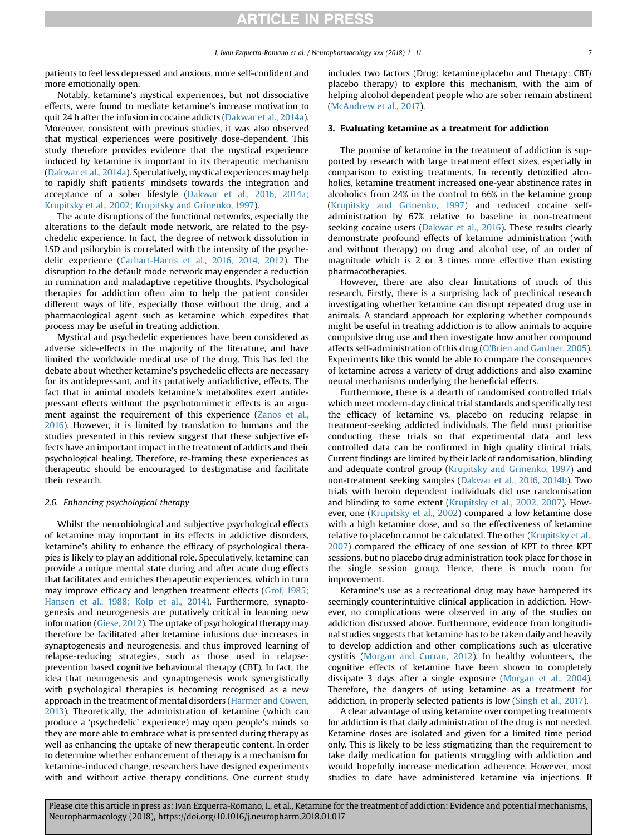patients to feel less depressed and anxious, more self-confident and more emotionally open.

Notably, ketamine's mystical experiences, but not dissociative effects, were found to mediate ketamine's increase motivation to quit 24 h after the infusion in cocaine addicts [\(Dakwar et al., 2014a\)](#page-7-0). Moreover, consistent with previous studies, it was also observed that mystical experiences were positively dose-dependent. This study therefore provides evidence that the mystical experience induced by ketamine is important in its therapeutic mechanism ([Dakwar et al., 2014a\)](#page-7-0). Speculatively, mystical experiences may help to rapidly shift patients' mindsets towards the integration and acceptance of a sober lifestyle [\(Dakwar et al., 2016, 2014a;](#page-7-0) [Krupitsky et al., 2002; Krupitsky and Grinenko, 1997\)](#page-7-0).

The acute disruptions of the functional networks, especially the alterations to the default mode network, are related to the psychedelic experience. In fact, the degree of network dissolution in LSD and psilocybin is correlated with the intensity of the psychedelic experience ([Carhart-Harris et al., 2016, 2014, 2012\)](#page-7-0). The disruption to the default mode network may engender a reduction in rumination and maladaptive repetitive thoughts. Psychological therapies for addiction often aim to help the patient consider different ways of life, especially those without the drug, and a pharmacological agent such as ketamine which expedites that process may be useful in treating addiction.

Mystical and psychedelic experiences have been considered as adverse side-effects in the majority of the literature, and have limited the worldwide medical use of the drug. This has fed the debate about whether ketamine's psychedelic effects are necessary for its antidepressant, and its putatively antiaddictive, effects. The fact that in animal models ketamine's metabolites exert antidepressant effects without the psychotomimetic effects is an argument against the requirement of this experience ([Zanos et al.,](#page-10-0) [2016\)](#page-10-0). However, it is limited by translation to humans and the studies presented in this review suggest that these subjective effects have an important impact in the treatment of addicts and their psychological healing. Therefore, re-framing these experiences as therapeutic should be encouraged to destigmatise and facilitate their research.

### 2.6. Enhancing psychological therapy

Whilst the neurobiological and subjective psychological effects of ketamine may important in its effects in addictive disorders, ketamine's ability to enhance the efficacy of psychological therapies is likely to play an additional role. Speculatively, ketamine can provide a unique mental state during and after acute drug effects that facilitates and enriches therapeutic experiences, which in turn may improve efficacy and lengthen treatment effects ([Grof, 1985;](#page-8-0) [Hansen et al., 1988; Kolp et al., 2014](#page-8-0)). Furthermore, synaptogenesis and neurogenesis are putatively critical in learning new information [\(Giese, 2012\)](#page-8-0). The uptake of psychological therapy may therefore be facilitated after ketamine infusions due increases in synaptogenesis and neurogenesis, and thus improved learning of relapse-reducing strategies, such as those used in relapseprevention based cognitive behavioural therapy (CBT). In fact, the idea that neurogenesis and synaptogenesis work synergistically with psychological therapies is becoming recognised as a new approach in the treatment of mental disorders [\(Harmer and Cowen,](#page-8-0) [2013\)](#page-8-0). Theoretically, the administration of ketamine (which can produce a 'psychedelic' experience) may open people's minds so they are more able to embrace what is presented during therapy as well as enhancing the uptake of new therapeutic content. In order to determine whether enhancement of therapy is a mechanism for ketamine-induced change, researchers have designed experiments with and without active therapy conditions. One current study

includes two factors (Drug: ketamine/placebo and Therapy: CBT/ placebo therapy) to explore this mechanism, with the aim of helping alcohol dependent people who are sober remain abstinent ([McAndrew et al., 2017](#page-9-0)).

## 3. Evaluating ketamine as a treatment for addiction

The promise of ketamine in the treatment of addiction is supported by research with large treatment effect sizes, especially in comparison to existing treatments. In recently detoxified alcoholics, ketamine treatment increased one-year abstinence rates in alcoholics from 24% in the control to 66% in the ketamine group ([Krupitsky and Grinenko, 1997](#page-8-0)) and reduced cocaine selfadministration by 67% relative to baseline in non-treatment seeking cocaine users [\(Dakwar et al., 2016\)](#page-7-0). These results clearly demonstrate profound effects of ketamine administration (with and without therapy) on drug and alcohol use, of an order of magnitude which is 2 or 3 times more effective than existing pharmacotherapies.

However, there are also clear limitations of much of this research. Firstly, there is a surprising lack of preclinical research investigating whether ketamine can disrupt repeated drug use in animals. A standard approach for exploring whether compounds might be useful in treating addiction is to allow animals to acquire compulsive drug use and then investigate how another compound affects self-administration of this drug ([O'Brien and Gardner, 2005\)](#page-9-0). Experiments like this would be able to compare the consequences of ketamine across a variety of drug addictions and also examine neural mechanisms underlying the beneficial effects.

Furthermore, there is a dearth of randomised controlled trials which meet modern-day clinical trial standards and specifically test the efficacy of ketamine vs. placebo on reducing relapse in treatment-seeking addicted individuals. The field must prioritise conducting these trials so that experimental data and less controlled data can be confirmed in high quality clinical trials. Current findings are limited by their lack of randomisation, blinding and adequate control group [\(Krupitsky and Grinenko, 1997\)](#page-8-0) and non-treatment seeking samples ([Dakwar et al., 2016, 2014b\)](#page-7-0). Two trials with heroin dependent individuals did use randomisation and blinding to some extent ([Krupitsky et al., 2002, 2007\)](#page-8-0). However, one ([Krupitsky et al., 2002](#page-8-0)) compared a low ketamine dose with a high ketamine dose, and so the effectiveness of ketamine relative to placebo cannot be calculated. The other [\(Krupitsky et al.,](#page-8-0) [2007\)](#page-8-0) compared the efficacy of one session of KPT to three KPT sessions, but no placebo drug administration took place for those in the single session group. Hence, there is much room for improvement.

Ketamine's use as a recreational drug may have hampered its seemingly counterintuitive clinical application in addiction. However, no complications were observed in any of the studies on addiction discussed above. Furthermore, evidence from longitudinal studies suggests that ketamine has to be taken daily and heavily to develop addiction and other complications such as ulcerative cystitis ([Morgan and Curran, 2012](#page-9-0)). In healthy volunteers, the cognitive effects of ketamine have been shown to completely dissipate 3 days after a single exposure [\(Morgan et al., 2004\)](#page-9-0). Therefore, the dangers of using ketamine as a treatment for addiction, in properly selected patients is low ([Singh et al., 2017](#page-9-0)).

A clear advantage of using ketamine over competing treatments for addiction is that daily administration of the drug is not needed. Ketamine doses are isolated and given for a limited time period only. This is likely to be less stigmatizing than the requirement to take daily medication for patients struggling with addiction and would hopefully increase medication adherence. However, most studies to date have administered ketamine via injections. If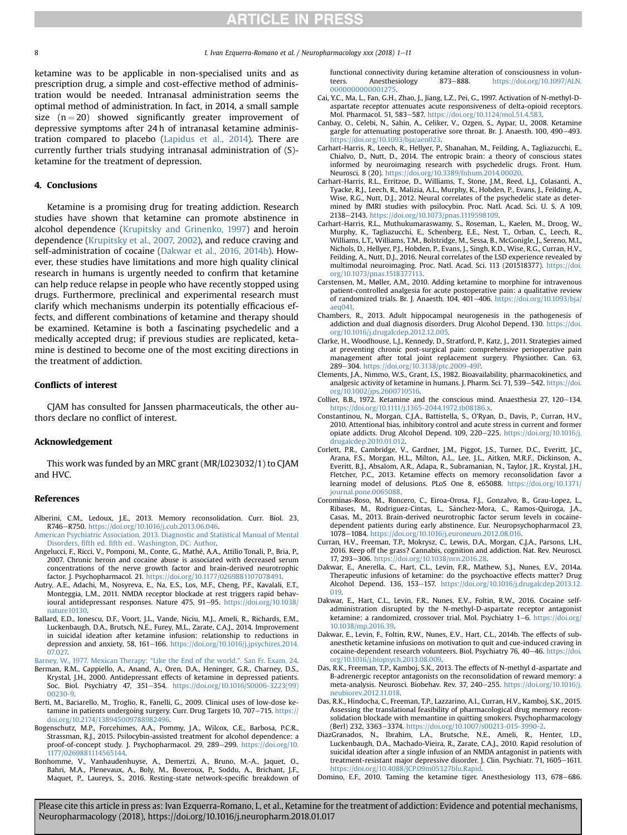<span id="page-7-0"></span>8 **I.** Ivan Ezquerra-Romano et al. / Neuropharmacology xxx (2018) 1–11

ketamine was to be applicable in non-specialised units and as prescription drug, a simple and cost-effective method of administration would be needed. Intranasal administration seems the optimal method of administration. In fact, in 2014, a small sample size  $(n = 20)$  showed significantly greater improvement of depressive symptoms after 24 h of intranasal ketamine administration compared to placebo ([Lapidus et al., 2014\)](#page-9-0). There are currently further trials studying intranasal administration of (S) ketamine for the treatment of depression.

#### 4. Conclusions

Ketamine is a promising drug for treating addiction. Research studies have shown that ketamine can promote abstinence in alcohol dependence ([Krupitsky and Grinenko, 1997](#page-8-0)) and heroin dependence [\(Krupitsky et al., 2007, 2002\)](#page-8-0), and reduce craving and self-administration of cocaine (Dakwar et al., 2016, 2014b). However, these studies have limitations and more high quality clinical research in humans is urgently needed to confirm that ketamine can help reduce relapse in people who have recently stopped using drugs. Furthermore, preclinical and experimental research must clarify which mechanisms underpin its potentially efficacious effects, and different combinations of ketamine and therapy should be examined. Ketamine is both a fascinating psychedelic and a medically accepted drug; if previous studies are replicated, ketamine is destined to become one of the most exciting directions in the treatment of addiction.

## Conflicts of interest

CJAM has consulted for Janssen pharmaceuticals, the other authors declare no conflict of interest.

## Acknowledgement

This work was funded by an MRC grant (MR/L023032/1) to CJAM and HVC.

### References

- Alberini, C.M., Ledoux, J.E., 2013. Memory reconsolidation. Curr. Biol. 23, R746-R750. <https://doi.org/10.1016/j.cub.2013.06.046>.
- [American Psychiatric Association, 2013. Diagnostic and Statistical Manual of Mental](http://refhub.elsevier.com/S0028-3908(18)30017-0/sref2) Disorders, fifth ed. fi[fth ed.. Washington, DC: Author.](http://refhub.elsevier.com/S0028-3908(18)30017-0/sref2)
- Angelucci, F., Ricci, V., Pomponi, M., Conte, G., Mathé, A.A., Attilio Tonali, P., Bria, P., 2007. Chronic heroin and cocaine abuse is associated with decreased serum concentrations of the nerve growth factor and brain-derived neurotrophic factor. J. Psychopharmacol. 21. [https://doi.org/10.1177/0269881107078491.](https://doi.org/10.1177/0269881107078491)
- Autry, A.E., Adachi, M., Nosyreva, E., Na, E.S., Los, M.F., Cheng, P.F., Kavalali, E.T., Monteggia, L.M., 2011. NMDA receptor blockade at rest triggers rapid behavioural antidepressant responses. Nature 475, 91-95. [https://doi.org/10.1038/](https://doi.org/10.1038/nature10130) [nature10130.](https://doi.org/10.1038/nature10130)
- Ballard, E.D., Ionescu, D.F., Voort, J.L., Vande, Niciu, M.J., Ameli, R., Richards, E.M., Luckenbaugh, D.A., Brutsch, N.E., Furey, M.L., Zarate, C.A.J., 2014. Improvement in suicidal ideation after ketamine infusion: relationship to reductions in depression and anxiety, 58, 161-166. [https://doi.org/10.1016/j.jpsychires.2014.](https://doi.org/10.1016/j.jpsychires.2014.07.027) [07.027.](https://doi.org/10.1016/j.jpsychires.2014.07.027)

[Barney, W., 1977. Mexican Therapy:](http://refhub.elsevier.com/S0028-3908(18)30017-0/sref6) "Like the End of the world.". San Fr. Exam. 24.

- Berman, R.M., Cappiello, A., Anand, A., Oren, D.A., Heninger, G.R., Charney, D.S., Krystal, J.H., 2000. Antidepressant effects of ketamine in depressed patients. Soc. Biol. Psychiatry 47, 351-354. [https://doi.org/10.1016/S0006-3223\(99\)](https://doi.org/10.1016/S0006-3223(99)00230-9) [00230-9](https://doi.org/10.1016/S0006-3223(99)00230-9).
- Berti, M., Baciarello, M., Troglio, R., Fanelli, G., 2009. Clinical uses of low-dose ketamine in patients undergoing surgery. Curr. Drug Targets 10, 707-715. [https://](https://doi.org/10.2174/138945009788982496) [doi.org/10.2174/138945009788982496.](https://doi.org/10.2174/138945009788982496)
- Bogenschutz, M.P., Forcehimes, A.A., Pommy, J.A., Wilcox, C.E., Barbosa, P.C.R., Strassman, R.J., 2015. Psilocybin-assisted treatment for alcohol dependence: a proof-of-concept study. J. Psychopharmacol. 29, 289-299. [https://doi.org/10.](https://doi.org/10.1177/0269881114565144) [1177/0269881114565144](https://doi.org/10.1177/0269881114565144).
- Bonhomme, V., Vanhaudenhuyse, A., Demertzi, A., Bruno, M.-A., Jaquet, O., Bahri, M.A., Plenevaux, A., Boly, M., Boveroux, P., Soddu, A., Brichant, J.F., Maquet, P., Laureys, S., 2016. Resting-state network-specific breakdown of

functional connectivity during ketamine alteration of consciousness in volun-<br>teers. Anesthesiology 873–888. https://doi.org/10.1097/ALN. teers. Anesthesiology 873–888. [https://doi.org/10.1097/ALN.](https://doi.org/10.1097/ALN.0000000000001275) 000000000000127

- Cai, Y.C., Ma, L., Fan, G.H., Zhao, J., Jiang, L.Z., Pei, G., 1997. Activation of N-methyl-Daspartate receptor attenuates acute responsiveness of delta-opioid receptors. Mol. Pharmacol. 51, 583-587. [https://doi.org/10.1124/mol.51.4.583.](https://doi.org/10.1124/mol.51.4.583)
- Canbay, O., Celebi, N., Sahin, A., Celiker, V., Ozgen, S., Aypar, U., 2008. Ketamine gargle for attenuating postoperative sore throat. Br. J. Anaesth. 100, 490-493. [https://doi.org/10.1093/bja/aen023.](https://doi.org/10.1093/bja/aen023)
- Carhart-Harris, R., Leech, R., Hellyer, P., Shanahan, M., Feilding, A., Tagliazucchi, E., Chialvo, D., Nutt, D., 2014. The entropic brain: a theory of conscious states informed by neuroimaging research with psychedelic drugs. Front. Hum. Neurosci. 8 (20). <https://doi.org/10.3389/fnhum.2014.00020>.
- Carhart-Harris, R.L., Erritzoe, D., Williams, T., Stone, J.M., Reed, L.J., Colasanti, A., Tyacke, R.J., Leech, R., Malizia, A.L., Murphy, K., Hobden, P., Evans, J., Feilding, A., Wise, R.G., Nutt, D.J., 2012. Neural correlates of the psychedelic state as determined by fMRI studies with psilocybin. Proc. Natl. Acad. Sci. U. S. A 109, 2138-2143. <https://doi.org/10.1073/pnas.1119598109>.
- Carhart-Harris, R.L., Muthukumaraswamy, S., Roseman, L., Kaelen, M., Droog, W., Murphy, K., Tagliazucchi, E., Schenberg, E.E., Nest, T., Orban, C., Leech, R., Williams, L.T., Williams, T.M., Bolstridge, M., Sessa, B., McGonigle, J., Sereno, M.I., Nichols, D., Hellyer, P.J., Hobden, P., Evans, J., Singh, K.D., Wise, R.G., Curran, H.V., Feilding, A., Nutt, D.J., 2016. Neural correlates of the LSD experience revealed by multimodal neuroimaging. Proc. Natl. Acad. Sci. 113 (201518377). [https://doi.](https://doi.org/10.1073/pnas.1518377113) [org/10.1073/pnas.1518377113](https://doi.org/10.1073/pnas.1518377113).
- Carstensen, M., Møller, A.M., 2010. Adding ketamine to morphine for intravenous patient-controlled analgesia for acute postoperative pain: a qualitative review of randomized trials. Br. J. Anaesth.  $104$ ,  $401-406$ . [https://doi.org/10.1093/bja/](https://doi.org/10.1093/bja/aeq041) [aeq041.](https://doi.org/10.1093/bja/aeq041)
- Chambers, R., 2013. Adult hippocampal neurogenesis in the pathogenesis of addiction and dual diagnosis disorders. Drug Alcohol Depend. 130. [https://doi.](https://doi.org/10.1016/j.drugalcdep.2012.12.005) [org/10.1016/j.drugalcdep.2012.12.005.](https://doi.org/10.1016/j.drugalcdep.2012.12.005)
- Clarke, H., Woodhouse, L.J., Kennedy, D., Stratford, P., Katz, J., 2011. Strategies aimed at preventing chronic post-surgical pain: comprehensive perioperative pain management after total joint replacement surgery. Physiother. Can. 63, 289-304. [https://doi.org/10.3138/ptc.2009-49P.](https://doi.org/10.3138/ptc.2009-49P)
- Clements, J.A., Nimmo, W.S., Grant, I.S., 1982. Bioavailability, pharmacokinetics, and analgesic activity of ketamine in humans. J. Pharm. Sci. 71, 539-542. [https://doi.](https://doi.org/10.1002/jps.2600710516) [org/10.1002/jps.2600710516.](https://doi.org/10.1002/jps.2600710516)
- Collier, B.B., 1972. Ketamine and the conscious mind. Anaesthesia 27, 120-134. <https://doi.org/10.1111/j.1365-2044.1972.tb08186.x>.
- Constantinou, N., Morgan, C.J.A., Battistella, S., O'Ryan, D., Davis, P., Curran, H.V., 2010. Attentional bias, inhibitory control and acute stress in current and former opiate addicts. Drug Alcohol Depend. 109, 220-225. [https://doi.org/10.1016/j.](https://doi.org/10.1016/j.drugalcdep.2010.01.012) [drugalcdep.2010.01.012.](https://doi.org/10.1016/j.drugalcdep.2010.01.012)
- Corlett, P.R., Cambridge, V., Gardner, J.M., Piggot, J.S., Turner, D.C., Everitt, J.C., Arana, F.S., Morgan, H.L., Milton, A.L., Lee, J.L., Aitken, M.R.F., Dickinson, A., Everitt, B.J., Absalom, A.R., Adapa, R., Subramanian, N., Taylor, J.R., Krystal, J.H., Fletcher, P.C., 2013. Ketamine effects on memory reconsolidation favor a learning model of delusions. PLoS One 8, e65088. [https://doi.org/10.1371/](https://doi.org/10.1371/journal.pone.0065088) [journal.pone.0065088](https://doi.org/10.1371/journal.pone.0065088).
- Corominas-Roso, M., Roncero, C., Eiroa-Orosa, F.J., Gonzalvo, B., Grau-Lopez, L., Ribases, M., Rodriguez-Cintas, L., Sánchez-Mora, C., Ramos-Quiroga, J.A., Casas, M., 2013. Brain-derived neurotrophic factor serum levels in cocainedependent patients during early abstinence. Eur. Neuropsychopharmacol 23, 1078-1084. <https://doi.org/10.1016/j.euroneuro.2012.08.016>
- Curran, H.V., Freeman, T.P., Mokrysz, C., Lewis, D.A., Morgan, C.J.A., Parsons, L.H., 2016. Keep off the grass? Cannabis, cognition and addiction. Nat. Rev. Neurosci. 17, 293-306. <https://doi.org/10.1038/nrn.2016.28>.
- Dakwar, E., Anerella, C., Hart, C.L., Levin, F.R., Mathew, S.J., Nunes, E.V., 2014a. Therapeutic infusions of ketamine: do the psychoactive effects matter? Drug Alcohol Depend. 136, 153-157. [https://doi.org/10.1016/j.drugalcdep.2013.12.](https://doi.org/10.1016/j.drugalcdep.2013.12.019) [019.](https://doi.org/10.1016/j.drugalcdep.2013.12.019)
- Dakwar, E., Hart, C.L., Levin, F.R., Nunes, E.V., Foltin, R.W., 2016. Cocaine selfadministration disrupted by the N-methyl-D-aspartate receptor antagonist ketamine: a randomized, crossover trial. Mol. Psychiatry 1-6. [https://doi.org/](https://doi.org/10.1038/mp.2016.39) [10.1038/mp.2016.39](https://doi.org/10.1038/mp.2016.39).
- Dakwar, E., Levin, F., Foltin, R.W., Nunes, E.V., Hart, C.L., 2014b. The effects of subanesthetic ketamine infusions on motivation to quit and cue-induced craving in cocaine-dependent research volunteers. Biol. Psychiatry 76, 40-46. [https://doi.](https://doi.org/10.1016/j.biopsych.2013.08.009) [org/10.1016/j.biopsych.2013.08.009](https://doi.org/10.1016/j.biopsych.2013.08.009).
- Das, R.K., Freeman, T.P., Kamboj, S.K., 2013. The effects of N-methyl d-aspartate and B-adrenergic receptor antagonists on the reconsolidation of reward memory: a meta-analysis. Neurosci. Biobehav. Rev. 37, 240-255. [https://doi.org/10.1016/j.](https://doi.org/10.1016/j.neubiorev.2012.11.018) [neubiorev.2012.11.018.](https://doi.org/10.1016/j.neubiorev.2012.11.018)
- Das, R.K., Hindocha, C., Freeman, T.P., Lazzarino, A.I., Curran, H.V., Kamboj, S.K., 2015. Assessing the translational feasibility of pharmacological drug memory reconsolidation blockade with memantine in quitting smokers. Psychopharmacology (Berl) 232, 3363–3374. [https://doi.org/10.1007/s00213-015-3990-2.](https://doi.org/10.1007/s00213-015-3990-2)<br>DiazGranados, N., Ibrahim, L.A., Brutsche, N.E., Ameli, R., Henter, I.D.
- Luckenbaugh, D.A., Machado-Vieira, R., Zarate, C.A.J., 2010. Rapid resolution of suicidal ideation after a single infusion of an NMDA antagonist in patients with treatment-resistant major depressive disorder. J. Clin. Psychiatr. 71, 1605-1611. <https://doi.org/10.4088/JCP.09m05327blu.Rapid>.

Domino, E.F., 2010. Taming the ketamine tiger. Anesthesiology 113, 678–686.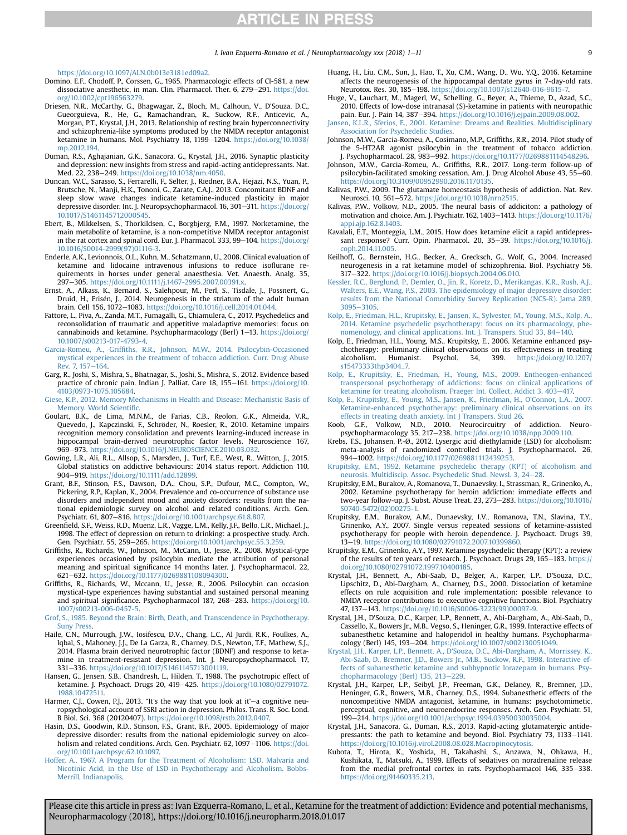[https://doi.org/10.1097/ALN.0b013e3181ed09a2.](https://doi.org/10.1097/ALN.0b013e3181ed09a2)

- <span id="page-8-0"></span>Domino, E.F., Chodoff, P., Corssen, G., 1965. Pharmacologic effects of CI-581, a new dissociative anesthetic, in man. Clin. Pharmacol. Ther. 6, 279-291. [https://doi.](https://doi.org/10.1002/cpt196563279) [org/10.1002/cpt196563279](https://doi.org/10.1002/cpt196563279).
- Driesen, N.R., McCarthy, G., Bhagwagar, Z., Bloch, M., Calhoun, V., D'Souza, D.C., Gueorguieva, R., He, G., Ramachandran, R., Suckow, R.F., Anticevic, A., Morgan, P.T., Krystal, J.H., 2013. Relationship of resting brain hyperconnectivity and schizophrenia-like symptoms produced by the NMDA receptor antagonist ketamine in humans. Mol. Psychiatry 18, 1199-1204. [https://doi.org/10.1038/](https://doi.org/10.1038/mp.2012.194) [mp.2012.194.](https://doi.org/10.1038/mp.2012.194)
- Duman, R.S., Aghajanian, G.K., Sanacora, G., Krystal, J.H., 2016. Synaptic plasticity and depression: new insights from stress and rapid-acting antidepressants. Nat. Med. 22, 238-249. <https://doi.org/10.1038/nm.4050>.
- Duncan, W.C., Sarasso, S., Ferrarelli, F., Selter, J., Riedner, B.A., Hejazi, N.S., Yuan, P., Brutsche, N., Manji, H.K., Tononi, G., Zarate, C.A.J., 2013. Concomitant BDNF and sleep slow wave changes indicate ketamine-induced plasticity in major depressive disorder. Int. J. Neuropsychopharmacol. 16, 301-311. [https://doi.org/](https://doi.org/10.1017/S1461145712000545) [10.1017/S1461145712000545](https://doi.org/10.1017/S1461145712000545).
- Ebert, B., Mikkelsen, S., Thorkildsen, C., Borgbjerg, F.M., 1997. Norketamine, the main metabolite of ketamine, is a non-competitive NMDA receptor antagonist in the rat cortex and spinal cord. Eur. J. Pharmacol. 333, 99-104. [https://doi.org/](https://doi.org/10.1016/S0014-2999(97)01116-3) [10.1016/S0014-2999\(97\)01116-3.](https://doi.org/10.1016/S0014-2999(97)01116-3)
- Enderle, A.K., Levionnois, O.L., Kuhn, M., Schatzmann, U., 2008. Clinical evaluation of ketamine and lidocaine intravenous infusions to reduce isoflurane requirements in horses under general anaesthesia. Vet. Anaesth. Analg. 35, 297-305. <https://doi.org/10.1111/j.1467-2995.2007.00391.x>.
- Ernst, A., Alkass, K., Bernard, S., Salehpour, M., Perl, S., Tisdale, J., Possnert, G., Druid, H., Frisén, J., 2014. Neurogenesis in the striatum of the adult human brain. Cell 156, 1072-1083. <https://doi.org/10.1016/j.cell.2014.01.044>.
- Fattore, L., Piva, A., Zanda, M.T., Fumagalli, G., Chiamulera, C., 2017. Psychedelics and reconsolidation of traumatic and appetitive maladaptive memories: focus on cannabinoids and ketamine. Psychopharmacology (Berl) 1-13. [https://doi.org/](https://doi.org/10.1007/s00213-017-4793-4) [10.1007/s00213-017-4793-4.](https://doi.org/10.1007/s00213-017-4793-4)
- Garcia-Romeu, A., Griffi[ths, R.R., Johnson, M.W., 2014. Psilocybin-Occasioned](http://refhub.elsevier.com/S0028-3908(18)30017-0/sref40) [mystical experiences in the treatment of tobacco addiction. Curr. Drug Abuse](http://refhub.elsevier.com/S0028-3908(18)30017-0/sref40) [Rev. 7, 157](http://refhub.elsevier.com/S0028-3908(18)30017-0/sref40)-164
- Garg, R., Joshi, S., Mishra, S., Bhatnagar, S., Joshi, S., Mishra, S., 2012. Evidence based practice of chronic pain. Indian J. Palliat. Care 18, 155-161. [https://doi.org/10.](https://doi.org/10.4103/0973-1075.105684) [4103/0973-1075.105684.](https://doi.org/10.4103/0973-1075.105684)
- [Giese, K.P., 2012. Memory Mechanisms in Health and Disease: Mechanistic Basis of](http://refhub.elsevier.com/S0028-3908(18)30017-0/sref42) [Memory. World Scienti](http://refhub.elsevier.com/S0028-3908(18)30017-0/sref42)fic.
- Goulart, B.K., de Lima, M.N.M., de Farias, C.B., Reolon, G.K., Almeida, V.R., Quevedo, J., Kapczinski, F., Schröder, N., Roesler, R., 2010. Ketamine impairs recognition memory consolidation and prevents learning-induced increase in hippocampal brain-derived neurotrophic factor levels. Neuroscience 167, 969-973. <https://doi.org/10.1016/J.NEUROSCIENCE.2010.03.032>.
- Gowing, L.R., Ali, R.L., Allsop, S., Marsden, J., Turf, E.E., West, R., Witton, J., 2015. Global statistics on addictive behaviours: 2014 status report. Addiction 110, 904-919. <https://doi.org/10.1111/add.12899>.
- Grant, B.F., Stinson, F.S., Dawson, D.A., Chou, S.P., Dufour, M.C., Compton, W., Pickering, R.P., Kaplan, K., 2004. Prevalence and co-occurrence of substance use disorders and independent mood and anxiety disorders: results from the national epidemiologic survey on alcohol and related conditions. Arch. Gen. Psychiatr. 61, 807-816. [https://doi.org/10.1001/archpsyc.61.8.807.](https://doi.org/10.1001/archpsyc.61.8.807)
- Greenfield, S.F., Weiss, R.D., Muenz, L.R., Vagge, L.M., Kelly, J.F., Bello, L.R., Michael, J., 1998. The effect of depression on return to drinking: a prospective study. Arch. Gen. Psychiatr. 55, 259-265. <https://doi.org/10.1001/archpsyc.55.3.259>
- Griffiths, R., Richards, W., Johnson, M., McCann, U., Jesse, R., 2008. Mystical-type experiences occasioned by psilocybin mediate the attribution of personal meaning and spiritual significance 14 months later. J. Psychopharmacol. 22, 621e632. <https://doi.org/10.1177/0269881108094300>.
- Griffiths, R., Richards, W., Mccann, U., Jesse, R., 2006. Psilocybin can occasion mystical-type experiences having substantial and sustained personal meaning and spiritual significance. Psychopharmacol 187, 268-283. [https://doi.org/10.](https://doi.org/10.1007/s00213-006-0457-5) [1007/s00213-006-0457-5.](https://doi.org/10.1007/s00213-006-0457-5)
- [Grof, S., 1985. Beyond the Brain: Birth, Death, and Transcendence in Psychotherapy.](http://refhub.elsevier.com/S0028-3908(18)30017-0/sref49) [Suny Press](http://refhub.elsevier.com/S0028-3908(18)30017-0/sref49).
- Haile, C.N., Murrough, J.W., Iosifescu, D.V., Chang, L.C., Al Jurdi, R.K., Foulkes, A., Iqbal, S., Mahoney, J.J., De La Garza, R., Charney, D.S., Newton, T.F., Mathew, S.J., 2014. Plasma brain derived neurotrophic factor (BDNF) and response to ketamine in treatment-resistant depression. Int. J. Neuropsychopharmacol. 17, 331-336. <https://doi.org/10.1017/S1461145713001119>.
- Hansen, G., Jensen, S.B., Chandresh, L., Hilden, T., 1988. The psychotropic effect of ketamine. J. Psychoact. Drugs 20, 419-425. [https://doi.org/10.1080/02791072.](https://doi.org/10.1080/02791072.1988.10472511) [1988.10472511.](https://doi.org/10.1080/02791072.1988.10472511)
- Harmer, C.J., Cowen, P.J., 2013. "It's the way that you look at it' $-a$  cognitive neuropsychological account of SSRI action in depression. Philos. Trans. R. Soc. Lond. B Biol. Sci. 368 (20120407). [https://doi.org/10.1098/rstb.2012.0407.](https://doi.org/10.1098/rstb.2012.0407)
- Hasin, D.S., Goodwin, R.D., Stinson, F.S., Grant, B.F., 2005. Epidemiology of major depressive disorder: results from the national epidemiologic survey on alcoholism and related conditions. Arch. Gen. Psychiatr. 62, 1097-1106. [https://doi.](https://doi.org/10.1001/archpsyc.62.10.1097) [org/10.1001/archpsyc.62.10.1097.](https://doi.org/10.1001/archpsyc.62.10.1097)
- [Hoffer, A., 1967. A Program for the Treatment of Alcoholism: LSD, Malvaria and](http://refhub.elsevier.com/S0028-3908(18)30017-0/sref54) [Nicotinic Acid, in the Use of LSD in Psychotherapy and Alcoholism. Bobbs-](http://refhub.elsevier.com/S0028-3908(18)30017-0/sref54)[Merrill, Indianapolis](http://refhub.elsevier.com/S0028-3908(18)30017-0/sref54).
- Huang, H., Liu, C.M., Sun, J., Hao, T., Xu, C.M., Wang, D., Wu, Y.Q., 2016. Ketamine affects the neurogenesis of the hippocampal dentate gyrus in 7-day-old rats. Neurotox. Res. 30, 185-198. https://doi.org/10.1007/s12640-016-9615-
- Huge, V., Lauchart, M., Magerl, W., Schelling, G., Beyer, A., Thieme, D., Azad, S.C., 2010. Effects of low-dose intranasal (S)-ketamine in patients with neuropathic pain. Eur. J. Pain 14, 387-394. <https://doi.org/10.1016/j.ejpain.2009.08.002>.
- [Jansen, K.L.R., Sferios, E., 2001. Ketamine: Dreams and Realities. Multidisciplinary](http://refhub.elsevier.com/S0028-3908(18)30017-0/sref57) [Association for Psychedelic Studies.](http://refhub.elsevier.com/S0028-3908(18)30017-0/sref57)
- Johnson, M.W., Garcia-Romeu, A., Cosimano, M.P., Griffiths, R.R., 2014. Pilot study of the 5-HT2AR agonist psilocybin in the treatment of tobacco addiction. J. Psychopharmacol. 28, 983-992. <https://doi.org/10.1177/0269881114548296>.
- Johnson, M.W., Garcia-Romeu, A., Griffiths, R.R., 2017. Long-term follow-up of psilocybin-facilitated smoking cessation. Am. J. Drug Alcohol Abuse 43, 55-60. <https://doi.org/10.3109/00952990.2016.1170135>.
- Kalivas, P.W., 2009. The glutamate homeostasis hypothesis of addiction. Nat. Rev. Neurosci. 10, 561-572. [https://doi.org/10.1038/nrn2515.](https://doi.org/10.1038/nrn2515)
- Kalivas, P.W., Volkow, N.D., 2005. The neural basis of addiciton: a pathology of motivation and choice. Am. J. Psychiatr. 162, 1403-1413. [https://doi.org/10.1176/](https://doi.org/10.1176/appi.ajp.162.8.1403) [appi.ajp.162.8.1403](https://doi.org/10.1176/appi.ajp.162.8.1403).
- Kavalali, E.T., Monteggia, L.M., 2015. How does ketamine elicit a rapid antidepressant response? Curr. Opin. Pharmacol. 20, 35-39. [https://doi.org/10.1016/j.](https://doi.org/10.1016/j.coph.2014.11.005) [coph.2014.11.005.](https://doi.org/10.1016/j.coph.2014.11.005)
- Keilhoff, G., Bernstein, H.G., Becker, A., Grecksch, G., Wolf, G., 2004. Increased neurogenesis in a rat ketamine model of schizophrenia. Biol. Psychiatry 56, 317-322. <https://doi.org/10.1016/j.biopsych.2004.06.010>.
- [Kessler, R.C., Berglund, P., Demler, O., Jin, R., Koretz, D., Merikangas, K.R., Rush, A.J.,](http://refhub.elsevier.com/S0028-3908(18)30017-0/sref64) [Walters, E.E., Wang, P.S., 2003. The epidemiology of major depressive disorder:](http://refhub.elsevier.com/S0028-3908(18)30017-0/sref64) [results from the National Comorbidity Survey Replication \(NCS-R\). Jama 289,](http://refhub.elsevier.com/S0028-3908(18)30017-0/sref64) [3095](http://refhub.elsevier.com/S0028-3908(18)30017-0/sref64)-[3105](http://refhub.elsevier.com/S0028-3908(18)30017-0/sref64)
- [Kolp, E., Friedman, H.L., Krupitsky, E., Jansen, K., Sylvester, M., Young, M.S., Kolp, A.,](http://refhub.elsevier.com/S0028-3908(18)30017-0/sref65) [2014. Ketamine psychedelic psychotherapy: focus on its pharmacology, phe](http://refhub.elsevier.com/S0028-3908(18)30017-0/sref65)[nomenology, and clinical applications. Int. J. Transpers. Stud 33, 84](http://refhub.elsevier.com/S0028-3908(18)30017-0/sref65)-[140](http://refhub.elsevier.com/S0028-3908(18)30017-0/sref65).
- Kolp, E., Friedman, H.L., Young, M.S., Krupitsky, E., 2006. Ketamine enhanced psychotherapy: preliminary clinical observations on its effectiveness in treating alcoholism. Humanist. Psychol. 34, 399. https://doi.org/10.1207/ alcoholism. Humanist. Psychol. 34, 399. [https://doi.org/10.1207/](https://doi.org/10.1207/s15473333thp3404_7) [s15473333thp3404\\_7.](https://doi.org/10.1207/s15473333thp3404_7)
- [Kolp, E., Krupitsky, E., Friedman, H., Young, M.S., 2009. Entheogen-enhanced](http://refhub.elsevier.com/S0028-3908(18)30017-0/sref67) [transpersonal psychotherapy of addictions: focus on clinical applications of](http://refhub.elsevier.com/S0028-3908(18)30017-0/sref67) [ketamine for treating alcoholism. Praeger Int. Collect. Addict 3, 403](http://refhub.elsevier.com/S0028-3908(18)30017-0/sref67)-[417.](http://refhub.elsevier.com/S0028-3908(18)30017-0/sref67)
- [Kolp, E., Krupitsky, E., Young, M.S., Jansen, K., Friedman, H., O'Connor, L.A., 2007.](http://refhub.elsevier.com/S0028-3908(18)30017-0/sref68) [Ketamine-enhanced psychotherapy: preliminary clinical observations on its](http://refhub.elsevier.com/S0028-3908(18)30017-0/sref68) [effects in treating death anxiety. Int J Transpers. Stud 26](http://refhub.elsevier.com/S0028-3908(18)30017-0/sref68).
- Koob, G.F., Volkow, N.D., 2010. Neurocircuitry of addiction. Neuropsychopharmacology 35, 217-238. [https://doi.org/10.1038/npp.2009.110.](https://doi.org/10.1038/npp.2009.110)
- Krebs, T.S., Johansen, P.-Ø., 2012. Lysergic acid diethylamide (LSD) for alcoholism: meta-analysis of randomized controlled trials. J. Psychopharmacol. 26, 994-1002. <https://doi.org/10.1177/0269881112439253>.
- [Krupitsky, E.M., 1992. Ketamine psychedelic therapy \(KPT\) of alcoholism and](http://refhub.elsevier.com/S0028-3908(18)30017-0/sref71) [neurosis. Multidiscip. Assoc. Psychedelic Stud. Newsl. 3, 24](http://refhub.elsevier.com/S0028-3908(18)30017-0/sref71)-[28.](http://refhub.elsevier.com/S0028-3908(18)30017-0/sref71)
- Krupitsky, E.M., Burakov, A., Romanova, T., Dunaevsky, I., Strassman, R., Grinenko, A., 2002. Ketamine psychotherapy for heroin addiction: immediate effects and two-year follow-up. J. Subst. Abuse Treat. 23, 273-283. [https://doi.org/10.1016/](https://doi.org/10.1016/S0740-5472(02)00275-1) [S0740-5472\(02\)00275-1.](https://doi.org/10.1016/S0740-5472(02)00275-1)
- Krupitsky, E.M., Burakov, A.M., Dunaevsky, I.V., Romanova, T.N., Slavina, T.Y., Grinenko, A.Y., 2007. Single versus repeated sessions of ketamine-assisted psychotherapy for people with heroin dependence. J. Psychoact. Drugs 39, 13e19. <https://doi.org/10.1080/02791072.2007.10399860>.
- Krupitsky, E.M., Grinenko, A.Y., 1997. Ketamine psychedelic therapy (KPT): a review of the results of ten years of research. J. Psychoact. Drugs 29, 165-183. [https://](https://doi.org/10.1080/02791072.1997.10400185) [doi.org/10.1080/02791072.1997.10400185](https://doi.org/10.1080/02791072.1997.10400185).
- Krystal, J.H., Bennett, A., Abi-Saab, D., Belger, A., Karper, L.P., D'Souza, D.C., Lipschitz, D., Abi-Dargham, A., Charney, D.S., 2000. Dissociation of ketamine effects on rule acquisition and rule implementation: possible relevance to NMDA receptor contributions to executive cognitive functions. Biol. Psychiatry 47, 137e143. [https://doi.org/10.1016/S0006-3223\(99\)00097-9](https://doi.org/10.1016/S0006-3223(99)00097-9).
- Krystal, J.H., D'Souza, D.C., Karper, L.P., Bennett, A., Abi-Dargham, A., Abi-Saab, D., Cassello, K., Bowers Jr., M.B., Vegso, S., Heninger, G.R., 1999. Interactive effects of subanesthetic ketamine and haloperidol in healthy humans. Psychopharmacology (Berl) 145, 193-204. <https://doi.org/10.1007/s002130051049>
- [Krystal, J.H., Karper, L.P., Bennett, A., D'Souza, D.C., Abi-Dargham, A., Morrissey, K.,](http://refhub.elsevier.com/S0028-3908(18)30017-0/sref77) [Abi-Saab, D., Bremner, J.D., Bowers Jr., M.B., Suckow, R.F., 1998. Interactive ef](http://refhub.elsevier.com/S0028-3908(18)30017-0/sref77)[fects of subanesthetic ketamine and subhypnotic lorazepam in humans. Psy](http://refhub.elsevier.com/S0028-3908(18)30017-0/sref77)[chopharmacology \(Berl\) 135, 213](http://refhub.elsevier.com/S0028-3908(18)30017-0/sref77)-[229](http://refhub.elsevier.com/S0028-3908(18)30017-0/sref77).
- Krystal, J.H., Karper, L.P., Seibyl, J.P., Freeman, G.K., Delaney, R., Bremner, J.D., Heninger, G.R., Bowers, M.B., Charney, D.S., 1994. Subanesthetic effects of the noncompetitive NMDA antagonist, ketamine, in humans: psychotomimetic, perceptual, cognitive, and neuroendocrine responses. Arch. Gen. Psychiatr. 51, 199-214. [https://doi.org/10.1001/archpsyc.1994.03950030035004.](https://doi.org/10.1001/archpsyc.1994.03950030035004)
- Krystal, J.H., Sanacora, G., Duman, R.S., 2013. Rapid-acting glutamatergic antidepressants: the path to ketamine and beyond. Biol. Psychiatry 73, 1133-1141. [https://doi.org/10.1016/j.virol.2008.08.028.Macropinocytosis.](https://doi.org/10.1016/j.virol.2008.08.028.Macropinocytosis)
- Kubota, T., Hirota, K., Yoshida, H., Takahashi, S., Anzawa, N., Ohkawa, H., Kushikata, T., Matsuki, A., 1999. Effects of sedatives on noradrenaline release from the medial prefrontal cortex in rats. Psychopharmacol 146, 335-338. <https://doi.org/91460335.213>.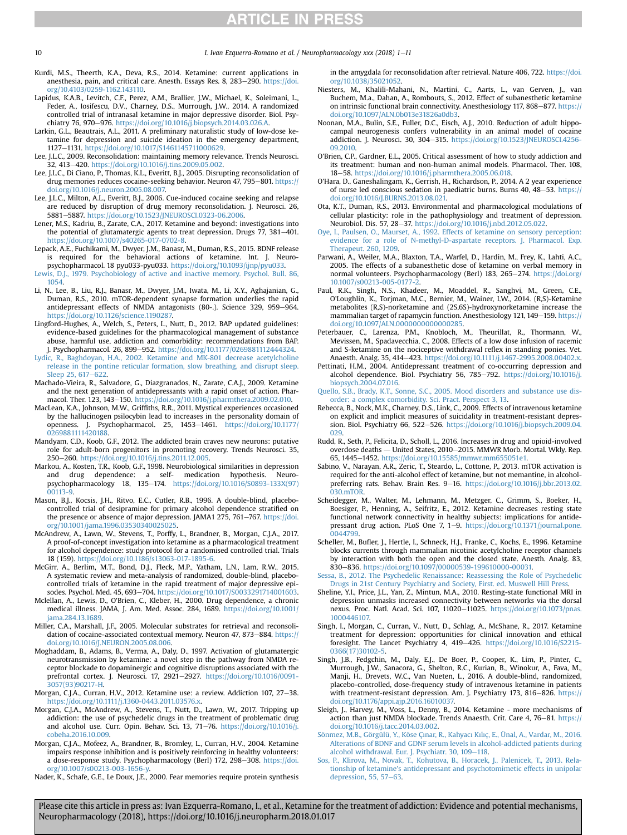<span id="page-9-0"></span>10 10 I. Ivan Ezquerra-Romano et al. / Neuropharmacology xxx (2018) 1–11

- Kurdi, M.S., Theerth, K.A., Deva, R.S., 2014. Ketamine: current applications in anesthesia, pain, and critical care. Anesth. Essays Res. 8, 283-290. [https://doi.](https://doi.org/10.4103/0259-1162.143110) [org/10.4103/0259-1162.143110](https://doi.org/10.4103/0259-1162.143110).
- Lapidus, K.A.B., Levitch, C.F., Perez, A.M., Brallier, J.W., Michael, K., Soleimani, L., Feder, A., Iosifescu, D.V., Charney, D.S., Murrough, J.W., 2014. A randomized controlled trial of intranasal ketamine in major depressive disorder. Biol. Psychiatry 76, 970-976. <https://doi.org/10.1016/j.biopsych.2014.03.026.A>.
- Larkin, G.L., Beautrais, A.L., 2011. A preliminary naturalistic study of low-dose ketamine for depression and suicide ideation in the emergency department, 1127-1131. <https://doi.org/10.1017/S1461145711000629>.
- Lee, J.L.C., 2009. Reconsolidation: maintaining memory relevance. Trends Neurosci. 32, 413-420. <https://doi.org/10.1016/j.tins.2009.05.002>.
- Lee, J.L.C., Di Ciano, P., Thomas, K.L., Everitt, B.J., 2005. Disrupting reconsolidation of drug memories reduces cocaine-seeking behavior. Neuron 47, 795-801. [https://](https://doi.org/10.1016/j.neuron.2005.08.007) [doi.org/10.1016/j.neuron.2005.08.007.](https://doi.org/10.1016/j.neuron.2005.08.007)
- Lee, J.L.C., Milton, A.L., Everitt, B.J., 2006. Cue-induced cocaine seeking and relapse are reduced by disruption of drug memory reconsolidation. J. Neurosci. 26, 5881e5887. <https://doi.org/10.1523/JNEUROSCI.0323-06.2006>.
- Lener, M.S., Kadriu, B., Zarate, C.A., 2017. Ketamine and beyond: investigations into the potential of glutamatergic agents to treat depression. Drugs 77, 381-401. <https://doi.org/10.1007/s40265-017-0702-8>.
- Lepack, A.E., Fuchikami, M., Dwyer, J.M., Banasr, M., Duman, R.S., 2015. BDNF release is required for the behavioral actions of ketamine. Int. J. Neuropsychopharmacol. 18 pyu033-pyu033. <https://doi.org/10.1093/ijnp/pyu033>.
- [Lewis, D.J., 1979. Psychobiology of active and inactive memory. Psychol. Bull. 86,](http://refhub.elsevier.com/S0028-3908(18)30017-0/sref89) [1054.](http://refhub.elsevier.com/S0028-3908(18)30017-0/sref89)
- Li, N., Lee, B., Liu, R.J., Banasr, M., Dwyer, J.M., Iwata, M., Li, X.Y., Aghajanian, G., Duman, R.S., 2010. mTOR-dependent synapse formation underlies the rapid antidepressant effects of NMDA antagonists (80-.). Science 329, 959-964. [https://doi.org/10.1126/science.1190287.](https://doi.org/10.1126/science.1190287)
- Lingford-Hughes, A., Welch, S., Peters, L., Nutt, D., 2012. BAP updated guidelines: evidence-based guidelines for the pharmacological management of substance abuse, harmful use, addiction and comorbidity: recommendations from BAP. J. Psychopharmacol. 26, 899-952. [https://doi.org/10.1177/0269881112444324.](https://doi.org/10.1177/0269881112444324)
- [Lydic, R., Baghdoyan, H.A., 2002. Ketamine and MK-801 decrease acetylcholine](http://refhub.elsevier.com/S0028-3908(18)30017-0/sref92) [release in the pontine reticular formation, slow breathing, and disrupt sleep.](http://refhub.elsevier.com/S0028-3908(18)30017-0/sref92) [Sleep 25, 617](http://refhub.elsevier.com/S0028-3908(18)30017-0/sref92)-[622](http://refhub.elsevier.com/S0028-3908(18)30017-0/sref92).
- Machado-Vieira, R., Salvadore, G., Diazgranados, N., Zarate, C.A.J., 2009. Ketamine and the next generation of antidepressants with a rapid onset of action. Pharmacol. Ther. 123, 143-150. <https://doi.org/10.1016/j.pharmthera.2009.02.010>.
- MacLean, K.A., Johnson, M.W., Griffiths, R.R., 2011. Mystical experiences occasioned by the hallucinogen psilocybin lead to increases in the personality domain of openness. J. Psychopharmacol. 25, 1453-1461. [https://doi.org/10.1177/](https://doi.org/10.1177/0269881111420188) [0269881111420188](https://doi.org/10.1177/0269881111420188).
- Mandyam, C.D., Koob, G.F., 2012. The addicted brain craves new neurons: putative role for adult-born progenitors in promoting recovery. Trends Neurosci. 35, 250-260. <https://doi.org/10.1016/j.tins.2011.12.005>.
- Markou, A., Kosten, T.R., Koob, G.F., 1998. Neurobiological similarities in depression and drug dependence: a self- medication hypothesis. Neuropsychopharmacology 18, 135-174. [https://doi.org/10.1016/S0893-133X\(97\)](https://doi.org/10.1016/S0893-133X(97)00113-9) [00113-9](https://doi.org/10.1016/S0893-133X(97)00113-9).
- Mason, B.J., Kocsis, J.H., Ritvo, E.C., Cutler, R.B., 1996. A double-blind, placebocontrolled trial of desipramine for primary alcohol dependence stratified on the presence or absence of major depression. JAMA1 275, 761-767. [https://doi.](https://doi.org/10.1001/jama.1996.03530340025025) [org/10.1001/jama.1996.03530340025025.](https://doi.org/10.1001/jama.1996.03530340025025)
- McAndrew, A., Lawn, W., Stevens, T., Porffy, L., Brandner, B., Morgan, C.J.A., 2017. A proof-of-concept investigation into ketamine as a pharmacological treatment for alcohol dependence: study protocol for a randomised controlled trial. Trials 18 (159). [https://doi.org/10.1186/s13063-017-1895-6.](https://doi.org/10.1186/s13063-017-1895-6)
- McGirr, A., Berlim, M.T., Bond, D.J., Fleck, M.P., Yatham, L.N., Lam, R.W., 2015. A systematic review and meta-analysis of randomized, double-blind, placebocontrolled trials of ketamine in the rapid treatment of major depressive episodes. Psychol. Med. 45, 693-704. <https://doi.org/10.1017/S0033291714001603>.
- Mclellan, A., Lewis, D., O'Brien, C., Kleber, H., 2000. Drug dependence, a chronic medical illness. JAMA, J. Am. Med. Assoc. 284, 1689. [https://doi.org/10.1001/](https://doi.org/10.1001/jama.284.13.1689) jama.284.13.1689
- Miller, C.A., Marshall, J.F., 2005. Molecular substrates for retrieval and reconsolidation of cocaine-associated contextual memory. Neuron 47, 873-884. [https://](https://doi.org/10.1016/J.NEURON.2005.08.006) [doi.org/10.1016/J.NEURON.2005.08.006](https://doi.org/10.1016/J.NEURON.2005.08.006).
- Moghaddam, B., Adams, B., Verma, A., Daly, D., 1997. Activation of glutamatergic neurotransmission by ketamine: a novel step in the pathway from NMDA receptor blockade to dopaminergic and cognitive disruptions associated with the prefrontal cortex. J. Neurosci. 17, 2921-2927. [https://doi.org/10.1016/0091-](https://doi.org/10.1016/0091-3057(93)90217-H) [3057\(93\)90217-H.](https://doi.org/10.1016/0091-3057(93)90217-H)
- Morgan, C.J.A., Curran, H.V., 2012. Ketamine use: a review. Addiction 107, 27-38. [https://doi.org/10.1111/j.1360-0443.2011.03576.x.](https://doi.org/10.1111/j.1360-0443.2011.03576.x)
- Morgan, C.J.A., McAndrew, A., Stevens, T., Nutt, D., Lawn, W., 2017. Tripping up addiction: the use of psychedelic drugs in the treatment of problematic drug and alcohol use. Curr. Opin. Behav. Sci. 13, 71-76. [https://doi.org/10.1016/j.](https://doi.org/10.1016/j.cobeha.2016.10.009) [cobeha.2016.10.009.](https://doi.org/10.1016/j.cobeha.2016.10.009)
- Morgan, C.J.A., Mofeez, A., Brandner, B., Bromley, L., Curran, H.V., 2004. Ketamine impairs response inhibition and is positively reinforcing in healthy volunteers: a dose-response study. Psychopharmacology (Berl) 172, 298-308. [https://doi.](https://doi.org/10.1007/s00213-003-1656-y) [org/10.1007/s00213-003-1656-y.](https://doi.org/10.1007/s00213-003-1656-y)

Nader, K., Schafe, G.E., Le Doux, J.E., 2000. Fear memories require protein synthesis

in the amygdala for reconsolidation after retrieval. Nature 406, 722. [https://doi.](https://doi.org/10.1038/35021052) [org/10.1038/35021052.](https://doi.org/10.1038/35021052)

- Niesters, M., Khalili-Mahani, N., Martini, C., Aarts, L., van Gerven, J., van Buchem, M.a., Dahan, A., Rombouts, S., 2012. Effect of subanesthetic ketamine on intrinsic functional brain connectivity. Anesthesiology 117, 868-877. [https://](https://doi.org/10.1097/ALN.0b013e31826a0db3) [doi.org/10.1097/ALN.0b013e31826a0db3.](https://doi.org/10.1097/ALN.0b013e31826a0db3)
- Noonan, M.A., Bulin, S.E., Fuller, D.C., Eisch, A.J., 2010. Reduction of adult hippocampal neurogenesis confers vulnerability in an animal model of cocaine addiction. J. Neurosci. 30, 304-315. [https://doi.org/10.1523/JNEUROSCI.4256-](https://doi.org/10.1523/JNEUROSCI.4256-09.2010) [09.2010](https://doi.org/10.1523/JNEUROSCI.4256-09.2010).
- O'Brien, C.P., Gardner, E.L., 2005. Critical assessment of how to study addiction and its treatment: human and non-human animal models. Pharmacol. Ther. 108, 18-58. https://doi.org/10.1016/j.pharmthera.2005.06.018
- O'Hara, D., Ganeshalingam, K., Gerrish, H., Richardson, P., 2014. A 2 year experience of nurse led conscious sedation in paediatric burns. Burns 40, 48-53. [https://](https://doi.org/10.1016/J.BURNS.2013.08.021) [doi.org/10.1016/J.BURNS.2013.08.021.](https://doi.org/10.1016/J.BURNS.2013.08.021)
- Ota, K.T., Duman, R.S., 2013. Environmental and pharmacological modulations of cellular plasticity: role in the pathophysiology and treatment of depression. Neurobiol. Dis. 57, 28-37. <https://doi.org/10.1016/j.nbd.2012.05.022>.
- [Oye, I., Paulsen, O., Maurset, A., 1992. Effects of ketamine on sensory perception:](http://refhub.elsevier.com/S0028-3908(18)30017-0/sref112) [evidence for a role of N-methyl-D-aspartate receptors. J. Pharmacol. Exp.](http://refhub.elsevier.com/S0028-3908(18)30017-0/sref112) [Therapeut. 260, 1209.](http://refhub.elsevier.com/S0028-3908(18)30017-0/sref112)
- Parwani, A., Weiler, M.A., Blaxton, T.A., Warfel, D., Hardin, M., Frey, K., Lahti, A.C., 2005. The effects of a subanesthetic dose of ketamine on verbal memory in normal volunteers. Psychopharmacology (Berl) 183, 265-274. [https://doi.org/](https://doi.org/10.1007/s00213-005-0177-2) [10.1007/s00213-005-0177-2](https://doi.org/10.1007/s00213-005-0177-2).
- Paul, R.K., Singh, N.S., Khadeer, M., Moaddel, R., Sanghvi, M., Green, C.E., O'Loughlin, K., Torjman, M.C., Bernier, M., Wainer, I.W., 2014. (R,S)-Ketamine metabolites (R,S)-norketamine and (2S,6S)-hydroxynorketamine increase the mammalian target of rapamycin function. Anesthesiology 121, 149-159. [https://](https://doi.org/10.1097/ALN.0000000000000285) [doi.org/10.1097/ALN.0000000000000285](https://doi.org/10.1097/ALN.0000000000000285).
- Peterbauer, C., Larenza, P.M., Knobloch, M., Theurillat, R., Thormann, W., Mevissen, M., Spadavecchia, C., 2008. Effects of a low dose infusion of racemic and S-ketamine on the nociceptive withdrawal reflex in standing ponies. Vet. Anaesth. Analg. 35, 414-423. <https://doi.org/10.1111/j.1467-2995.2008.00402.x>.
- Pettinati, H.M., 2004. Antidepressant treatment of co-occurring depression and alcohol dependence. Biol. Psychiatry 56, 785-792. [https://doi.org/10.1016/j.](https://doi.org/10.1016/j.biopsych.2004.07.016) [biopsych.2004.07.016](https://doi.org/10.1016/j.biopsych.2004.07.016).
- [Quello, S.B., Brady, K.T., Sonne, S.C., 2005. Mood disorders and substance use dis](http://refhub.elsevier.com/S0028-3908(18)30017-0/sref117)[order: a complex comorbidity. Sci. Pract. Perspect 3, 13.](http://refhub.elsevier.com/S0028-3908(18)30017-0/sref117)
- Rebecca, B., Nock, M.K., Charney, D.S., Link, C., 2009. Effects of intravenous ketamine on explicit and implicit measures of suicidality in treatment-resistant depression. Biol. Psychiatry 66, 522-526. [https://doi.org/10.1016/j.biopsych.2009.04.](https://doi.org/10.1016/j.biopsych.2009.04.029) [029](https://doi.org/10.1016/j.biopsych.2009.04.029).
- Rudd, R., Seth, P., Felicita, D., Scholl, L., 2016. Increases in drug and opioid-involved overdose deaths - United States, 2010-2015. MMWR Morb. Mortal. Wkly. Rep. 65, 1445-1452. [https://doi.org/10.15585/mmwr.mm655051e1.](https://doi.org/10.15585/mmwr.mm655051e1)
- Sabino, V., Narayan, A.R., Zeric, T., Steardo, L., Cottone, P., 2013. mTOR activation is required for the anti-alcohol effect of ketamine, but not memantine, in alcoholpreferring rats. Behav. Brain Res. 9-16. [https://doi.org/10.1016/j.bbr.2013.02.](https://doi.org/10.1016/j.bbr.2013.02.030.mTOR) [030.mTOR](https://doi.org/10.1016/j.bbr.2013.02.030.mTOR).
- Scheidegger, M., Walter, M., Lehmann, M., Metzger, C., Grimm, S., Boeker, H., Boesiger, P., Henning, A., Seifritz, E., 2012. Ketamine decreases resting state functional network connectivity in healthy subjects: implications for antidepressant drug action. PLoS One 7, 1-9. [https://doi.org/10.1371/journal.pone.](https://doi.org/10.1371/journal.pone.0044799) [0044799](https://doi.org/10.1371/journal.pone.0044799).
- Scheller, M., Bufler, J., Hertle, I., Schneck, H.J., Franke, C., Kochs, E., 1996. Ketamine blocks currents through mammalian nicotinic acetylcholine receptor channels by interaction with both the open and the closed state. Anesth. Analg. 83, 830-836. [https://doi.org/10.1097/00000539-199610000-00031.](https://doi.org/10.1097/00000539-199610000-00031)
- [Sessa, B., 2012. The Psychedelic Renaissance: Reassessing the Role of Psychedelic](http://refhub.elsevier.com/S0028-3908(18)30017-0/sref123) [Drugs in 21st Century Psychiatry and Society, First. ed. Muswell Hill Press.](http://refhub.elsevier.com/S0028-3908(18)30017-0/sref123)
- Sheline, Y.I., Price, J.L., Yan, Z., Mintun, M.A., 2010. Resting-state functional MRI in depression unmasks increased connectivity between networks via the dorsal nexus. Proc. Natl. Acad. Sci. 107, 11020-11025. [https://doi.org/10.1073/pnas.](https://doi.org/10.1073/pnas.1000446107) [1000446107.](https://doi.org/10.1073/pnas.1000446107)
- Singh, I., Morgan, C., Curran, V., Nutt, D., Schlag, A., McShane, R., 2017. Ketamine treatment for depression: opportunities for clinical innovation and ethical foresight. The Lancet Psychiatry 4, 419-426. [https://doi.org/10.1016/S2215-](https://doi.org/10.1016/S2215-0366(17)30102-5) [0366\(17\)30102-5.](https://doi.org/10.1016/S2215-0366(17)30102-5)
- Singh, J.B., Fedgchin, M., Daly, E.J., De Boer, P., Cooper, K., Lim, P., Pinter, C., Murrough, J.W., Sanacora, G., Shelton, R.C., Kurian, B., Winokur, A., Fava, M., Manji, H., Drevets, W.C., Van Nueten, L., 2016. A double-blind, randomized, placebo-controlled, dose-frequency study of intravenous ketamine in patients with treatment-resistant depression. Am. J. Psychiatry 173, 816-826. [https://](https://doi.org/10.1176/appi.ajp.2016.16010037) [doi.org/10.1176/appi.ajp.2016.16010037.](https://doi.org/10.1176/appi.ajp.2016.16010037)
- Sleigh, J., Harvey, M., Voss, L., Denny, B., 2014. Ketamine more mechanisms of<br>action than just NMDA blockade. Trends Anaesth. Crit. Care 4, 76–81. [https://](https://doi.org/10.1016/j.tacc.2014.03.002) [doi.org/10.1016/j.tacc.2014.03.002.](https://doi.org/10.1016/j.tacc.2014.03.002)
- [S](http://refhub.elsevier.com/S0028-3908(18)30017-0/sref128)ö[nmez, M.B., G](http://refhub.elsevier.com/S0028-3908(18)30017-0/sref128)ö[rgülü, Y., K](http://refhub.elsevier.com/S0028-3908(18)30017-0/sref128)ö[se Ç](http://refhub.elsevier.com/S0028-3908(18)30017-0/sref128)ı[nar, R., Kahyac](http://refhub.elsevier.com/S0028-3908(18)30017-0/sref128)ı [K](http://refhub.elsevier.com/S0028-3908(18)30017-0/sref128)ı[l](http://refhub.elsevier.com/S0028-3908(18)30017-0/sref128)ı[ç, E., Ünal, A., Vardar, M., 2016.](http://refhub.elsevier.com/S0028-3908(18)30017-0/sref128) [Alterations of BDNF and GDNF serum levels in alcohol-addicted patients during](http://refhub.elsevier.com/S0028-3908(18)30017-0/sref128) [alcohol withdrawal. Eur. J. Psychiatr. 30, 109](http://refhub.elsevier.com/S0028-3908(18)30017-0/sref128)-[118](http://refhub.elsevier.com/S0028-3908(18)30017-0/sref128).
- [Sos, P., Klirova, M., Novak, T., Kohutova, B., Horacek, J., Palenicek, T., 2013. Rela](http://refhub.elsevier.com/S0028-3908(18)30017-0/sref129)[tionship of ketamine's antidepressant and psychotomimetic effects in unipolar](http://refhub.elsevier.com/S0028-3908(18)30017-0/sref129) [depression, 55, 57](http://refhub.elsevier.com/S0028-3908(18)30017-0/sref129)-[63](http://refhub.elsevier.com/S0028-3908(18)30017-0/sref129).